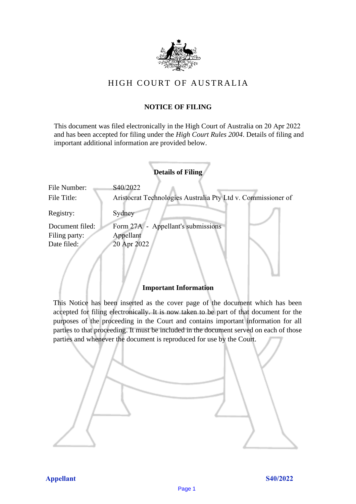

# HIGH COURT OF AU STRALIA HIGH COURT OF AUSTRALIA

## **NOTICE OF FILING** NOTICE OF FILING

This document was filed electronically in the High Court of Australia on 20 Apr 2022 and has been accepted for filing under the *High Court Rules 2004*. Details of filing and important additional information are provided below. important additional information are provided below.

| <b>Details of Filing</b>    |                                                                          |
|-----------------------------|--------------------------------------------------------------------------|
| File Number:<br>File Title: | S40/2022<br>Aristocrat Technologies Australia Pty Ltd v. Commissioner of |
| Registry:                   | Sydney                                                                   |
| Document filed:             | Form 27A - Appellant's submissions                                       |
| Filing party:               | Appellant                                                                |
| Date filed:                 | 20 Apr 2022                                                              |
|                             |                                                                          |

## **Important Information** Important Information

This Notice has been inserted as the cover page of the document which has been accepted for filing electronically. It is now taken to be part of that document for the purposes of the proceeding in the Court and contains important information for all parties to that proceeding. It must be included in the document served on each of those parties and whenever the document is reproduced for use by the Court. parties and whenever the document is reproduced for use by the Court

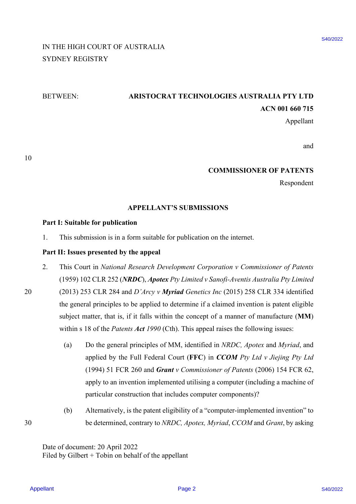# IN THE HIGH COURT OF AUSTRALIA IN THE HIGH COURT OF AUSTRALIA SYDNEY REGISTRY SYDNEY REGISTRY

# BETWEEN: **ARISTOCRAT TECHNOLOGIES AUSTRALIA PTY LTD** BETWEEN: ARISTOCRAT TECHNOLOGIES AUSTRALIA PTY LTD **ACN 001 660 715** ACN 001 660 715

Appellant Appellant

and and

#### **COMMISSIONER OF PATENTS** COMMISSIONER OF PATENTS

Respondent Respondent

#### **APPELLANT'S SUBMISSIONS** APPELLANT'S SUBMISSIONS

#### **Part I: Suitable for publication** Part I: Suitable for publication

1. This submission is in a form suitable for publication on the internet. 1. This submission is in <sup>a</sup> form suitable for publication on the internet.

## **Part II: Issues presented by the appeal** Part II: Issues presented by the appeal

- 2. This Court in *National Research Development Corporation v Commissioner of Patents*  This Court in National Research Development Corporation v Commissioner of Patents (1959) 102 CLR 252 (*NRDC*), *Apotex Pty Limited v Sanofi-Aventis Australia Pty Limited*  (1959) 102 CLR 252 (NRDC), Apotex Pty Limited vSanofi-Aventis Australia Pty Limited 2.
- 20 (2013) 253 CLR 284 and *D'Arcy v Myriad Genetics Inc* (2015) 258 CLR 334 identified (2013) 253 CLR 284 and D'Arcy v Myriad Genetics Inc (2015) 258 CLR 334 identified the general principles to be applied to determine if a claimed invention is patent eligible the general principles to be applied to determine if <sup>a</sup> claimed invention is patent eligible subject matter, that is, if it falls within the concept of a manner of manufacture (**MM**) subject matter, that is, if it falls within the concept of <sup>a</sup> manner of manufacture (MM) within s 18 of the *Patents Act 1990* (Cth). This appeal raises the following issues: within <sup>s</sup> <sup>18</sup> of the Patents Act 1990 (Cth). This appeal raises the following issues: 20
- (a) Do the general principles of MM, identified in *NRDC*, *Apotex* and *Myriad*, and applied by the Full Federal Court (**FFC**) in *CCOM Pty Ltd v Jiejing Pty Ltd* applied by the Full Federal Court (FFC) in CCOM Pty Ltd v Jiejing Pty Ltd (1994) 51 FCR 260 and *Grant v Commissioner of Patents* (2006) 154 FCR 62, apply to an invention implemented utilising a computer (including a machine of apply to an invention implemented utilising <sup>a</sup> computer (including a machine of particular construction that includes computer components)? particular construction that includes computer components)? IN THE HIGH COURT OF AUSTRALIA FROM COGNES ALSTRALIA FIVENTS SUBMISSIONS ASSEMINATE REVIEWS:<br>
SYDNEY REGISTIVE ARENT TECHNOLOGIES ALSTRALIA PTY LTD<br>
ACROVITY REGISTIVE ARENT SUBMISSIONS ARENT PATENTS Reprodent<br>
For the Sh
- (b) Alternatively, is the patent eligibility of a "computer-implemented invention" to (b) Alternatively, is the patent eligibility of a "computer-implemented invention" to 30 be determined, contrary to *NRDC, Apotex, Myriad*, *CCOM* and *Grant*, by asking be determined, contrary to NRDC, Apotex, Myriad, CCOM and Grant, by asking

Date of document: 20 April 2022 Date of document: 20 April 2022 Filed by Gilbert + Tobin on behalf of the appellant Filed by Gilbert + Tobin on behalf of the appellant

30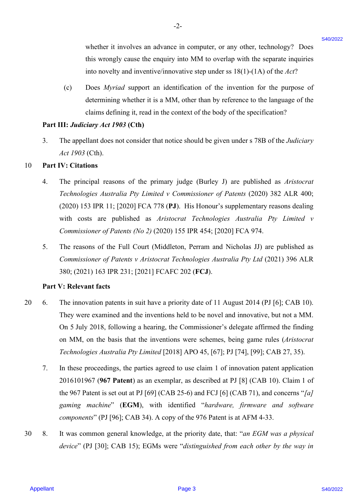whether it involves an advance in computer, or any other, technology? Does whether it involves an advance in computer, or any other, technology? Does this wrongly cause the enquiry into MM to overlap with the separate inquiries this wrongly cause the enquiry into MM to overlap with the separate inquiries into novelty and inventive/innovative step under ss 18(1)-(1A) of the *Act*? into novelty and inventive/innovative step under ss 18(1)-(1A) of the Act?

(c) Does *Myriad* support an identification of the invention for the purpose of (c) Does Myriad support an identification of the invention for the purpose of determining whether it is a MM, other than by reference to the language of the determining whether it is <sup>a</sup> MM, other than by reference to the language of the claims defining it, read in the context of the body of the specification? claims defining it, read in the context of the body of the specification?

# **Part III:** *Judiciary Act 1903* **(Cth)** Part II: Judiciary Act <sup>1903</sup> (Cth)

3. The appellant does not consider that notice should be given under s 78B of the *Judiciary*  3. The appellant does not consider that notice should be given under <sup>s</sup> 78B of the Judiciary *Act 1903* (Cth). Act 1903 (Cth).

-2- -2-

#### 10 **Part IV: Citations** <sup>10</sup> <sup>+</sup> Part IV: Citations

- 4. The principal reasons of the primary judge (Burley J) are published as *Aristocrat*  4. The principal reasons of the primary judge (Burley J) are published as Aristocrat *Technologies Australia Pty Limited v Commissioner of Patents* (2020) 382 ALR 400; Technologies Australia Pty Limited vyCommissioner of Patents (2020) 382 ALR 400; (2020) 153 IPR 11; [2020] FCA 778 (**PJ**). His Honour's supplementary reasons dealing (2020) 153 IPR 11; [2020] FCA 778 (PJ). His Honour's supplementary reasons dealing with costs are published as *Aristocrat Technologies Australia Pty Limited v*  with costs are published as Aristocrat Technologies Australia Pty Limited v *Commissioner of Patents (No 2)* (2020) 155 IPR 454; [2020] FCA 974.
- 5. The reasons of the Full Court (Middleton, Perram and Nicholas JJ) are published as The reasons of the Full Court (Middleton, Perram and Nicholas JJ) are published as *Commissioner of Patents v Aristocrat Technologies Australia Pty Ltd* (2021) 396 ALR Commissioner of Patents v Aristocrat Technologies Australia Pty Ltd (2021) 396 ALR 380; (2021) 163 IPR 231; [2021] FCAFC 202 (**FCJ**). 380; (2021) 163 IPR 231; [2021] FCAFC 202 (FCJ).

#### **Part V: Relevant facts** Part V: Relevant facts

- 20 6. The innovation patents in suit have a priority date of 11 August 2014 (PJ [6]; CAB 10). The innovation patents in suit have <sup>a</sup> priority date of <sup>11</sup> August 2014 (PJ [6]; CAB 10).They were examined and the inventions held to be novel and innovative, but not a MM. They were examined and the inventions held to be novel and innovative, but not a MM. On 5 July 2018, following a hearing, the Commissioner's delegate affirmed the finding On <sup>5</sup> July 2018, following a hearing, the Commissioner's delegate affirmed the finding on MM, on the basis that the inventions were schemes, being game rules (*Aristocrat Technologies Australia Pty Limited* [2018] APO 45, [67]; PJ [74], [99]; CAB 27, 35). Technologies Australia Pty Limited [2018] APO 45, [67]; PJ [74], [99]; CAB 27, 35). whether it involves an advance in computer, or any other, technology? Doca<br>
this worrely come the mappir win MM in o werthy with the sequents window<br>
into avoidy and investible in a MM choice that the sequence of<br>
10) Doc 20 6.
	- 7. In these proceedings, the parties agreed to use claim 1 of innovation patent application In these proceedings, the parties agreed to use claim | of innovation patent application 2016101967 (**967 Patent**) as an exemplar, as described at PJ [8] (CAB 10). Claim 1 of 2016101967 (967 Patent) as an exemplar, as described at PJ [8] (CAB 10). Claim 1 ofthe 967 Patent is set out at PJ [69] (CAB 25-6) and FCJ [6] (CAB 71), and concerns "*[a]*  the 967 Patent is set out at PJ [69] (CAB 25-6) and FCJ [6] (CAB 71), and concerns "/a/ *gaming machine*" (**EGM**), with identified "*hardware, firmware and software*  gaming machine' (EGM), with identified "hardware, firmware and\_ software *components*" (PJ [96]; CAB 34). A copy of the 976 Patent is at AFM 4-33. components" (PJ [96]; CAB 34). A copy of the 976 Patent is at AFM 4-33. 7.
- 30 8. It was common general knowledge, at the priority date, that: "*an EGM was a physical*  It was common general knowledge, at the priority date, that: "an EGM was a physical device" (PJ [30]; CAB 15); EGMs were "distinguished from each other by the way in 30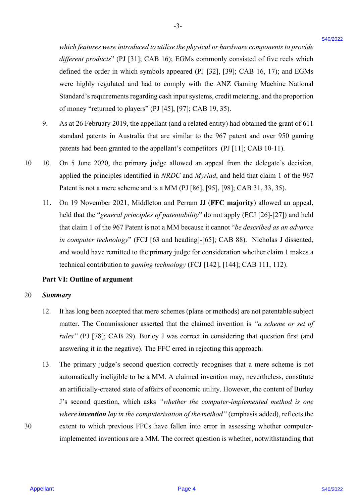*which features were introduced to utilise the physical or hardware components to provide*  which features were introduced to utilise thephysical or hardware components toprovide different products" (PJ [31]; CAB 16); EGMs commonly consisted of five reels which defined the order in which symbols appeared (PJ [32], [39]; CAB 16, 17); and EGMs defined the order in which symbols appeared (PJ [32], [39]; CAB 16, 17); and EGMs were highly regulated and had to comply with the ANZ Gaming Machine National were highly regulated and had to comply with the ANZ Gaming Machine National Standard's requirements regarding cash input systems, credit metering, and the proportion Standard's requirements regarding cash input systems, credit metering, and the proportion of money "returned to players" (PJ [45], [97]; CAB 19, 35). of money "returned to players" (PJ [45], [97]; CAB 19, 35).

- 9. As at 26 February 2019, the appellant (and a related entity) had obtained the grant of 611 As at 26 February 2019, the appellant (and <sup>a</sup> related entity) had obtained the grant of 611 standard patents in Australia that are similar to the 967 patent and over 950 gaming standard patents in Australia that are similar to the 967 patent and over 950 gaming patents had been granted to the appellant's competitors (PJ [11]; CAB 10-11). patents had been granted to the appellant's competitors (PJ [11]; CAB 10-11).
- 10 10. On 5 June 2020, the primary judge allowed an appeal from the delegate's decision, On <sup>5</sup> June 2020, the primary judge allowed an appeal from the delegate's decision, applied the principles identified in *NRDC* and *Myriad*, and held that claim 1 of the 967 applied the principles identified in NRDC and Myriad, and held that claim <sup>1</sup> of the 967 Patent is not a mere scheme and is a MM (PJ [86], [95], [98]; CAB 31, 33, 35). Patent is not a mere scheme and is <sup>a</sup> MM (PJ [86], [95], [98]; CAB 31, 33, 35). 10.
	- 11. On 19 November 2021, Middleton and Perram JJ (**FFC majority**) allowed an appeal, On 19 November 2021, Middleton and Perram JJ (FFC majority) allowed an appeal, held that the "*general principles of patentability*" do not apply (FCJ [26]-[27]) and held that claim 1 of the 967 Patent is not a MM because it cannot "*be described as an advance* in computer technology" (FCJ [63 and heading]-[65]; CAB 88). Nicholas J dissented, and would have remitted to the primary judge for consideration whether claim 1 makes a and would have remitted to the primary judge for consideration whether claim <sup>1</sup> makes <sup>a</sup> technical contribution to *gaming technology* (FCJ [142], [144]; CAB 111, 112). technical contribution to gaming technology (FCJ [142], [144]; CAB 111, 112). 11.

#### **Part VI: Outline of argument** Part VI: Outline of argument

#### 20 *Summary* 20 Summary

- 12. It has long been accepted that mere schemes (plans or methods) are not patentable subject matter. The Commissioner asserted that the claimed invention is *"a scheme or set of*  matter. The Commissioner asserted that the claimed invention is "a scheme or set of *rules*" (PJ [78]; CAB 29). Burley J was correct in considering that question first (and answering it in the negative). The FFC erred in rejecting this approach. 12.
- answering it in the negative). The FFC erred in rejecting this approach.<br>13. The primary judge's second question correctly recognises that a mere scheme is not automatically ineligible to be a MM. A claimed invention may, nevertheless, constitute automatically ineligible to be a MM. A claimed invention may, nevertheless, constitute an artificially-created state of affairs of economic utility. However, the content of Burley an artificially-created state of affairs of economic utility.However, the content of Burley J's second question, which asks *"whether the computer-implemented method is one*  J's second question, which asks "whether the computer-implemented method is one where *invention* lay in the computerisation of the method" (emphasis added), reflects the 30 extent to which previous FFCs have fallen into error in assessing whether computer-extent to which previous FFCs have fallen into error in assessing whether computerimplemented inventions are a MM. The correct question is whether, notwithstanding that implemented inventions are a MM. The correct question is whether, notwithstanding that which formats were introduced to saline deploted or kathour components to provide<br>algonous produced condition, which (WAL ENT (WAL controllers) to the set of which set of the set of the set of the set of the set of the se 13.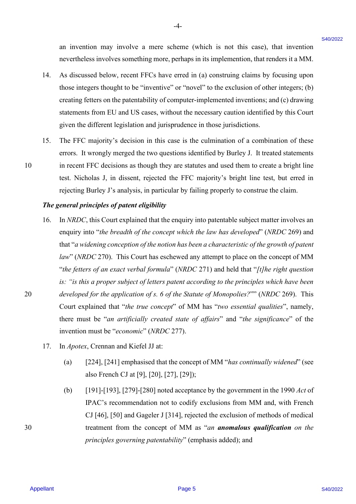an invention may involve a mere scheme (which is not this case), that invention an invention may involve <sup>a</sup> mere scheme (which is not this case), that invention nevertheless involves something more, perhaps in its implemention, that renders it a MM. nevertheless involves something more, perhaps in its implemention, that renders it <sup>a</sup> MM.

14. As discussed below, recent FFCs have erred in (a) construing claims by focusing upon As discussed below, recent FFCs have erred in (a) construing claims by focusing upon those integers thought to be "inventive" or "novel" to the exclusion of other integers; (b) those integers thought to be "inventive" or "novel" to the exclusion of other integers; (b) creating fetters on the patentability of computer-implemented inventions; and (c) drawing creating fetters on the patentability of computer-implemented inventions; and (c) drawing statements from EU and US cases, without the necessary caution identified by this Court statements from EU and US cases, without the necessary caution identified by this Court given the different legislation and jurisprudence in those jurisdictions. given the different legislation and jurisprudence in those jurisdictions. 14.

-4- -4-

15. The FFC majority's decision in this case is the culmination of a combination of these errors. It wrongly merged the two questions identified by Burley J. It treated statements errors. It wrongly merged the two questions identified by Burley J. It treated statements 10 in recent FFC decisions as though they are statutes and used them to create a bright line in recent FFC decisions as though they are statutes and used them to create <sup>a</sup> bright line test. Nicholas J, in dissent, rejected the FFC majority's bright line test, but erred in test. Nicholas J, in dissent, rejected the FFC majority's bright line test, but erred in rejecting Burley J's analysis, in particular by failing properly to construe the claim. rejecting Burley J's analysis, in particular by failing properly to construe the claim. 15.

## The general principles of patent eligibility

- 16. In *NRDC*, this Court explained that the enquiry into patentable subject matter involves an enquiry into "the breadth of the concept which the law has developed" (NRDC 269) and that "*a widening conception of the notion has been a characteristic of the growth of patent*  that "a widening conception ofthe notion has been a characteristic ofthe growth ofpatent *law*" (*NRDC* 270). This Court has eschewed any attempt to place on the concept of MM law" (NRDC 270). This Court has eschewed any attempt to place on the concept of MM "the fetters of an exact verbal formula" (*NRDC* 271) and held that "[t]he right question is: "is this a proper subject of letters patent according to the principles which have been 20 developed for the application of s. 6 of the Statute of Monopolies?"" (*NRDC* 269). This Court explained that "*the true concept*" of MM has "*two essential qualities*", namely, Court explained that "the true concept' of MM has "two essential qualities", namely, there must be "*an artificially created state of affairs*" and "*the significance*" of the there must be "an artificially created state of affairs" and "the significance" of the invention must be "*economic*" (*NRDC* 277). invention must be "economic" (NRDC 277). an investion may involve a nece soleone (which is not this osse), that investion<br>  $\tau$  research between summarized that in investigating the system is the system of the system of the system is the system of the system of 16.
	- 17. In *Apotex*, Crennan and Kiefel JJ at: In Apotex, Crennan and Kiefel JJ at: 17.
		- (a) [224], [241] emphasised that the concept of MM "*has continually widened*" (see (a) [224], [241] emphasised that the concept of MM "has continually widened" (see also French CJ at [9], [20], [27], [29]); also French CJ at [9], [20], [27], [29]);
- (b)  $[191]$ - $[193]$ ,  $[279]$ - $[280]$  noted acceptance by the government in the 1990 *Act* of IPAC's recommendation not to codify exclusions from MM and, with French IPAC's recommendation not to codify exclusions from MM and, with French CJ [46], [50] and Gageler J [314], rejected the exclusion of methods of medical CJ [46], [50] and Gageler <sup>J</sup> [314], rejected the exclusion of methods of medical 30 treatment from the concept of MM as "*an anomalous qualification on the*  treatment from the concept of MM as "an anomalous qualification on the *principles governing patentability*" (emphasis added); and principles governing patentability" (emphasis added); and

10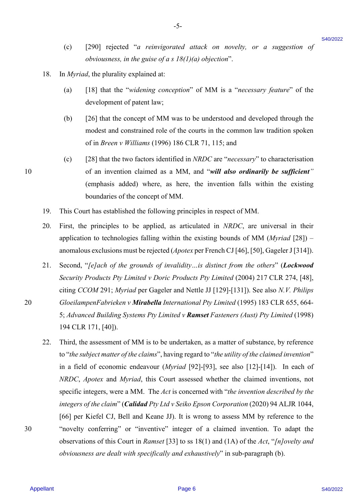(c) [290] rejected "*a reinvigorated attack on novelty, or a suggestion of*  (c) [290] rejected "a reinvigorated attack on novelty, or a suggestion of *obviousness, in the guise of a s 18(1)(a) objection*".

-5- -5-

- 18. In *Myriad*, the plurality explained at: In Myriad, the plurality explained at: 18.
	- (a) [18] that the "*widening conception*" of MM is a "*necessary feature*" of the (a) [18] that the "widening conception" of MM is <sup>a</sup> "necessary feature" of the development of patent law; development of patent law;
	- (b) [26] that the concept of MM was to be understood and developed through the (b) [26] that the concept of MM was to be understood and developed through the modest and constrained role of the courts in the common law tradition spoken modest and constrained role of the courts in the common law tradition spoken of in *Breen v Williams* (1996) 186 CLR 71, 115; and of in Breen v Williams (1996) 186 CLR 71, 115; and
- (c) [28] that the two factors identified in *NRDC* are "*necessary*" to characterisation (c) [28] that the two factors identified in NRDC are "necessary" to characterisation 10 of an invention claimed as a MM, and "*will also ordinarily be sufficient"* of an invention claimed as a MM, and "will also ordinarily be sufficient" (emphasis added) where, as here, the invention falls within the existing (emphasis added) where, as here, the invention falls within the existing boundaries of the concept of MM. boundaries of the concept of MM.
	- 19. This Court has established the following principles in respect of MM. This Court has established the following principles in respect of MM. 19.
	- 20. First, the principles to be applied, as articulated in *NRDC*, are universal in their First, the principles to be applied, as articulated in NRDC, are universal in their application to technologies falling within the existing bounds of MM (*Myriad* [28]) – application to technologies falling within the existing bounds of MM (Myriad [28]) anomalous exclusions must be rejected (*Apotex* per French CJ [46], [50], Gageler J [314]). anomalous exclusions must berejected (Apotex per French CJ [46], [50], Gageler J [314]). 20.
- 21. Second, "*[e]ach of the grounds of invalidity…is distinct from the others*" (*Lockwood* Second, "/e/ach of the grounds of invalidity...is distinct from the others" (Lockwood *Security Products Pty Limited v Doric Products Pty Limited* (2004) 217 CLR 274, [48], Security Products Pty Limited v Doric Products Pty Limited (2004) 217 CLR 274, [48], citing *CCOM* 291; *Myriad* per Gageler and Nettle JJ [129]-[131]). See also *N.V. Philips*  citing CCOM 291; Myriad per Gageler and Nettle JJ [129]-[131]). See also N.V. Philips 20 *GloeilampenFabrieken v Mirabella International Pty Limited* (1995) 183 CLR 655, 664- GloeilampenFabrieken v Mirabella International Pty Limited (1995) 183 CLR 655, 664- 5; *Advanced Building Systems Pty Limited v Ramset Fasteners (Aust) Pty Limited* (1998) 5; Advanced Building Systems Pty Limited v Ramset Fasteners (Aust) Pty Limited (1998) 194 CLR 171, [40]). 194 CLR 171, [40]). 21.
- 22. Third, the assessment of MM is to be undertaken, as a matter of substance, by reference Third, the assessment of MM is to be undertaken, as <sup>a</sup> matter of substance, by reference to "the subject matter of the claims", having regard to "the utility of the claimed invention" in a field of economic endeavour (*Myriad* [92]-[93], see also [12]-[14]). In each of *NRDC*, *Apotex* and *Myriad*, this Court assessed whether the claimed inventions, not NRDC, Apotex and Myriad, this Court assessed whether the claimed inventions, not specific integers, were a MM. The *Act* is concerned with "*the invention described by the*  specific integers, were a MM. The Act is concerned with "the invention described by the integers of the claim" (Calidad Pty Ltd v Seiko Epson Corporation (2020) 94 ALJR 1044, [66] per Kiefel CJ, Bell and Keane JJ). It is wrong to assess MM by reference to the [66] per Kiefel CJ, Bell and Keane JJ). It is wrong to assess MM by reference to the 30 "novelty conferring" or "inventive" integer of a claimed invention. To adapt the "novelty conferring" or "inventive" integer of a claimed invention. To adapt the observations of this Court in *Ramset* [33] to ss 18(1) and (1A) of the *Act*, "*[n]ovelty and*  observations of this Court in Ramset [33] to ss 18(1) and (1A) of the Act, "/n]ovelty and *obviousness are dealt with specifically and exhaustively*" in sub-paragraph (b). obviousness are dealt with specifically and exhaustively" in sub-paragraph (b). 10) [200] rejected "a reiongeomed attack on morely, or a megasion of  $g^2$  and  $g^2$  and  $g^2$  and  $g^2$  is a significal still in the interference of the proposition of the  $\pi$  is  $\pi$  is  $\pi$  is  $\pi$  is  $\pi$  is  $\pi$  is 22.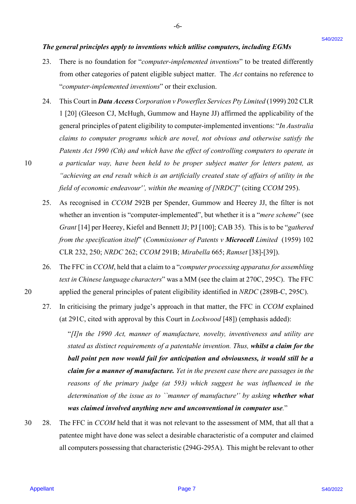### *The general principles apply to inventions which utilise computers, including EGMs* The general principles apply to inventions which utilise computers, including EGMs

23. There is no foundation for "*computer-implemented inventions*" to be treated differently There is no foundation for "computer-implemented inventions" to be treated differently from other categories of patent eligible subject matter. The *Act* contains no reference to from other categories of patent eligible subject matter. The Act contains no reference to "*computer-implemented inventions*" or their exclusion. "computer-implemented inventions" or their exclusion. 23.

-6- -6-

- 24. This Court in *Data Access Corporation v Powerflex Services Pty Limited* (1999) 202 CLR This Court in Data Access Corporation v Powerflex Services Pty Limited (1999) 202 CLR 1 [20] (Gleeson CJ, McHugh, Gummow and Hayne JJ) affirmed the applicability of the 1 [20] (Gleeson CJ, McHugh, Gummow and Hayne JJ) affirmed the applicability of the general principles of patent eligibility to computer-implemented inventions: "*In Australia claims to computer programs which are novel, not obvious and otherwise satisfy the*  claims to computer programs which are novel, not obvious and otherwise satisfy the *Patents Act 1990 (Cth) and which have the effect of controlling computers to operate in*  Patents Act 1990 (Cth) and which have the effect of controlling computers to operate in 10 a particular way, have been held to be proper subject matter for letters patent, as *"achieving an end result which is an artificially created state of affairs of utility in the*  "achieving an end result which is an artificially created state of affairs of utility in the *field of economic endeavour'', within the meaning of [NRDC]*" (citing *CCOM* 295). field of economic endeavour"', within the meaning of[NRDC]" (citing CCOM 295). **The general principles apply to inventions which neither computers, including EGMs<br>
23. There is a formation for "computer-simplement of metodology" for be treated influenced in the metodology of the computer-simplement** 24.
	- 25. As recognised in *CCOM* 292B per Spender, Gummow and Heerey JJ, the filter is not As recognised in CCOM 292B per Spender, Gummow and Heerey JJ, the filter is not whether an invention is "computer-implemented", but whether it is a "*mere scheme*" (see *Grant* [14] per Heerey, Kiefel and Bennett JJ; PJ [100]; CAB 35). This is to be "*gathered*  Grant [14] per Heerey, Kiefel and Bennett JJ; PJ [100]; CAB 35). This is to be "gathered *from the specification itself*" (*Commissioner of Patents v Microcell Limited* (1959) 102 from the specification itself' (Commissioner of Patents v Microcell Limited (1959) <sup>102</sup> CLR 232, 250; *NRDC* 262; *CCOM* 291B; *Mirabella* 665; *Ramset* [38]-[39]). CLR 232, 250; NRDC 262; CCOM 291B; Mirabella 665; Ramset [38]-[39]). 25.
- 26. The FFC in *CCOM*, held that a claim to a "*computer processing apparatus for assembling*  The FFC in CCOM, held that <sup>a</sup> claim to <sup>a</sup> "computer processing apparatusfor assembling *text in Chinese language characters*" was a MM (see the claim at 270C, 295C). The FFC text in Chinese language characters" was <sup>a</sup> MM (see the claim at 270C, 295C). The FFC 20 applied the general principles of patent eligibility identified in *NRDC* (289B-C, 295C). applied the general principles of patent eligibility identified in NRDC (289B-C, 295C). 26.
	- 27. In criticising the primary judge's approach in that matter, the FFC in *CCOM* explained (at 291C, cited with approval by this Court in *Lockwood* [48]) (emphasis added): (at 291C, cited with approval by this Court in Lockwood [48]) (emphasis added): 27.

"*[I]n the 1990 Act, manner of manufacture, novelty, inventiveness and utility are*  "[I]n the 1990 Act, manner of manufacture, novelty, inventiveness and utility are stated as distinct requirements of a patentable invention. Thus, whilst a claim for the ball point pen now would fail for anticipation and obviousness, it would still be a claim for a manner of manufacture. Yet in the present case there are passages in the reasons of the primary judge (at 593) which suggest he was influenced in the determination of the issue as to ``manner of manufacture'' by asking whether what *was claimed involved anything new and unconventional in computer use.*" was claimed involved anything new and unconventional in computer use."

30 28. The FFC in *CCOM* held that it was not relevant to the assessment of MM, that all that a patentee might have done was select a desirable characteristic of a computer and claimed patentee might have done was select a desirable characteristic of a computer and claimed all computers possessing that characteristic (294G-295A). This might be relevant to other all computers possessing that characteristic (294G-295A). This might be relevant to other 30.28.

20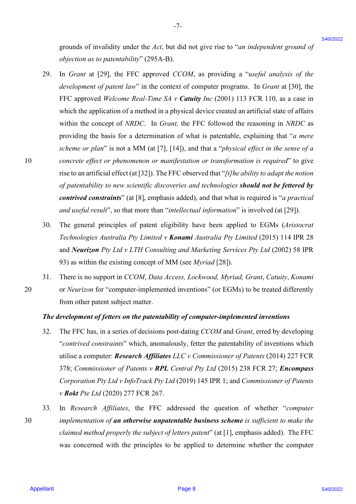grounds of invalidity under the *Act*, but did not give rise to "*an independent ground of*  grounds of invalidity under the Act, but did not give rise to "an independent ground of *objection as to patentability*" (295A-B). objection as topatentability" (295A-B).

-7- -7-

- 29. In *Grant* at [29], the FFC approved *CCOM*, as providing a "*useful analysis of the*  In Grant at [29], the FFC approved CCOM, as providing <sup>a</sup> "useful analysis of the development of patent law" in the context of computer programs. In *Grant* at [30], the FFC approved *Welcome Real-Time SA v Catuity Inc* (2001) 113 FCR 110, as a case in FFC approved Welcome Real-Time SA v Catuity Inc (2001) 113 FCR 110, as <sup>a</sup> case in which the application of a method in a physical device created an artificial state of affairs which the application of a method in <sup>a</sup> physical device created an artificial state of affairs within the concept of *NRDC*. In *Grant,* the FFC followed the reasoning in *NRDC* as within the concept of NRDC. In Grant, the FFC followed the reasoning in NRDC as providing the basis for a determination of what is patentable, explaining that "*a mere*  providing the basis for a determination of what is patentable, explaining that "a mere *scheme or plan*" is not a MM (at [7], [14]), and that a "*physical effect in the sense of a*  scheme or plan" is not a MM (at [7], [14]), and that a "physical effect in the sense of a 10 *concrete effect or phenomenon or manifestation or transformation is required*" to give concrete effect or phenomenon or manifestation or transformation is required" to give rise to an artificial effect (at [32]). The FFC observed that "*[t]he ability to adapt the notion*  rise to an artificial effect (at [32]).The FFC observed that "/t/he ability to adapt the notion of patentability to new scientific discoveries and technologies should not be fettered by *contrived constraints*" (at [8], emphasis added), and that what is required is "*a practical*  contrived constraints" (at [8], emphasis added), and that what is required is "a practical *and useful result*", so that more than "*intellectual information*" is involved (at [29]). and useful result', so that more than "intellectual information" is involved (at [29]). grounds of involving vache the *A*ct, but did not give rise to "an independent ground of involving a "semi-<br>
20. In *Ground 129*, the FFC approved (CCPM, as providing a "semi-dimension")  $\Omega$ .<br>
20. In *Ground 129*, the FF 29.
	- 30. The general principles of patent eligibility have been applied to EGMs (*Aristocrat*  The general principles of patent eligibility have been applied to EGMs (Aristocrat *Technologies Australia Pty Limited v Konami Australia Pty Limited* (2015) 114 IPR 28 Technologies Australia Pty Limited v Konami Australia Pty Limited (2015) 114 IPR 28 and *Neurizon Pty Ltd v LTH Consulting and Marketing Services Pty Ltd* (2002) 58 IPR and Neurizon Pty Ltd v LTH Consulting and Marketing Services Pty Ltd (2002) 58 IPR 93) as within the existing concept of MM (see *Myriad* [28]). 93) as within the existing concept of MM (see Myriad [28]). 30.
- 31. There is no support in *CCOM*, *Data Access, Lockwood, Myriad, Grant*, *Catuity*, *Konami*  There is no support in CCOM, Data Access, Lockwood, Myriad, Grant, Catuity, Konami 20 or *Neurizon* for "computer-implemented inventions" (or EGMs) to be treated differently from other patent subject matter. from other patent subject matter. 31. 20

## The development of fetters on the patentability of computer-implemented inventions

- 32. The FFC has, in a series of decisions post-dating *CCOM* and *Grant*, erred by developing "*contrived constraints*" which, anomalously, fetter the patentability of inventions which "contrived constraints" which, anomalously, fetter the patentability of inventions which utilise a computer: *Research Affiliates LLC v Commissioner of Patents* (2014) 227 FCR 378; *Commissioner of Patents v RPL Central Pty Ltd* (2015) 238 FCR 27; *Encompass* 378; Commissioner of Patents v RPL Central Pty Ltd (2015) 238 FCR 27; Encompass Corporation Pty Ltd v InfoTrack Pty Ltd (2019) 145 IPR 1; and *Commissioner of Patents v Rokt Pte Ltd* (2020) 277 FCR 267. v Rokt Pte Ltd (2020) 277 FCR 267. 32.
- 33. In *Research Affiliates*, the FFC addressed the question of whether "*computer*  In Research Affiliates, the FFC addressed the question of whether "computer 30 *implementation of an otherwise unpatentable business scheme is sufficient to make the*  implementation of an otherwise unpatentable business scheme is sufficient to make the claimed method properly the subject of letters patent" (at [1], emphasis added). The FFC was concerned with the principles to be applied to determine whether the computer was concerned with the principles to be applied to determine whether the computer 33. 30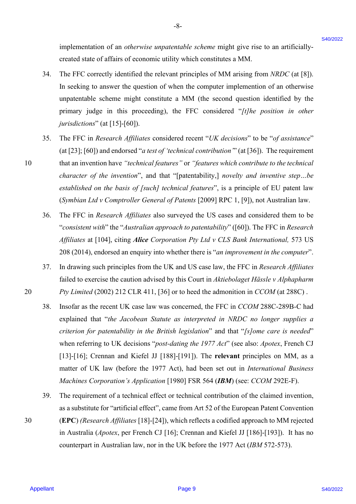implementation of an *otherwise unpatentable scheme* might give rise to an artificiallycreated state of affairs of economic utility which constitutes a MM. created state of affairs of economic utility which constitutes <sup>a</sup> MM.

- 34. The FFC correctly identified the relevant principles of MM arising from *NRDC* (at [8]). The FFC correctly identified the relevant principles of MM arising from NRDC (at [8]). In seeking to answer the question of when the computer implemention of an otherwise In seeking to answer the question of when the computer implemention of an otherwise unpatentable scheme might constitute a MM (the second question identified by the unpatentable scheme might constitute a MM (the second question identified by the primary judge in this proceeding), the FFC considered "*[t]he position in other*  primary judge in this proceeding), the FFC considered "/t/he position in other *jurisdictions*" (at [15]-[60]). Jurisdictions" (at [15]-[60]). 34.
- 35. The FFC in *Research Affiliates* considered recent "*UK decisions*" to be "*of assistance*" The FFC in Research Affiliates considered recent "UK decisions" to be "of assistance" (at [23]; [60]) and endorsed "*a test of 'technical contribution'*" (at [36]). The requirement (at [23]; [60]) and endorsed "a test of 'technical contribution" (at [36]). The requirement 10 that an invention have "technical features" or "features which contribute to the technical *character of the invention*", and that "[patentability,] *novelty and inventive step…be*  character of the invention", and that "[patentability,] novelty and inventive step...be *established on the basis of [such] technical features*", is a principle of EU patent law established on the basis of [such] technical features', is <sup>a</sup> principle of EU patent law (Symbian Ltd v Comptroller General of Patents [2009] RPC 1, [9]), not Australian law. 35.
	- 36. The FFC in *Research Affiliates* also surveyed the US cases and considered them to be The FFC in Research Affiliates also surveyed the US cases and considered them to be "*consistent with*" the "*Australian approach to patentability*" ([60]). The FFC in *Research*  "consistent with" the "Australian approach to patentability" ({60]). The FFC in Research *Affiliates* at [104], citing *Alice Corporation Pty Ltd v CLS Bank International,* 573 US Affiliates at [104], citing Alice Corporation Pty Ltd v CLS Bank International, 573 US 208 (2014), endorsed an enquiry into whether there is "*an improvement in the computer*". 208 (2014), endorsed an enquiry into whether there is "an improvement in the computer''. 36.
- 37. In drawing such principles from the UK and US case law, the FFC in *Research Affiliates* In drawing such principles from the UK and US case law, the FFC in Research Affiliates failed to exercise the caution advised by this Court in *Aktiebolaget Hässle v Alphapharm*  failed to exercise the caution advised by this Court in Aktiebolaget Hassle v Alphapharm 20 *Pty Limited* (2002) 212 CLR 411, [36] or to heed the admonition in *CCOM* (at 288C) . Pty Limited (2002) 212 CLR 411, [36] or to heed the admonition in CCOM (at 288C) . 37.
- 38. Insofar as the recent UK case law was concerned, the FFC in *CCOM* 288C-289B-C had Insofar as the recent UK case law was concerned, the FFC in CCOM 288C-289B-C had explained that "*the Jacobean Statute as interpreted in NRDC no longer supplies a*  explained that "the Jacobean Statute as interpreted in NRDC no longer supplies a *criterion for patentability in the British legislation*" and that "*[s]ome care is needed*" criterion for patentability in the British legislation" and that "/s]/ome care is needed" when referring to UK decisions "*post-dating the 1977 Act*" (see also: *Apotex*, French CJ when referring to UK decisions "post-dating the 1977 Act" (see also: Apotex, French CJ [13]-[16]; Crennan and Kiefel JJ [188]-[191]). The **relevant** principles on MM, as a [13]-[16]; Crennan and Kiefel JJ [188]-[191]). The relevant principles on MM, as <sup>a</sup> matter of UK law (before the 1977 Act), had been set out in *International Business*  matter of UK law (before the 1977 Act), had been set out in Jnternational Business *Machines Corporation's Application* [1980] FSR 564 (*IBM*) (see: *CCOM* 292E-F). Machines Corporation's Application [1980] FSR 564 (IBM) (see: CCOM 292E-F). implementation of an oderwise negates<br>adde actions might give rise to an artificially assessed and the state of the methods of the HC correlated by the formulations MM.<br>
The HC correlate including the section prime includ 38.
- 39. The requirement of a technical effect or technical contribution of the claimed invention, The requirement of a technical effect or technical contribution of the claimed invention, as a substitute for "artificial effect", came from Art 52 of the European Patent Convention as a Substitute for "artificial effect", came from Art 52 of the European Patent Convention 30 (**EPC**) *(Research Affiliates* [18]-[24]), which reflects a codified approach to MM rejected (EPC) (Research Affiliates [18]-[24]), which reflects <sup>a</sup> codified approach to MM rejected in Australia (*Apotex*, per French CJ [16]; Crennan and Kiefel JJ [186]-[193]). It has no counterpart in Australian law, nor in the UK before the 1977 Act (IBM 572-573). 39. 30

10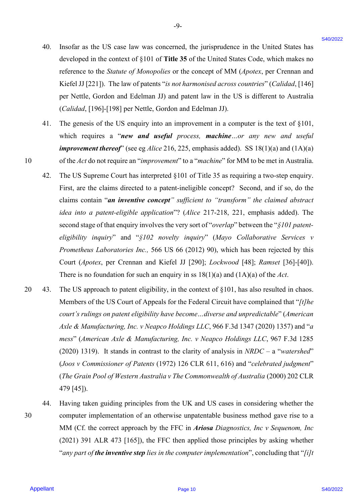40. Insofar as the US case law was concerned, the jurisprudence in the United States has Insofar as the US case law was concerned, the jurisprudence in the United States has developed in the context of §101 of **Title 35** of the United States Code, which makes no developed in the context of §101 of Title 35 of the United States Code, which makes no reference to the *Statute of Monopolies* or the concept of MM (*Apotex*, per Crennan and reference to the Statute of Monopolies or the concept of MM (Apotex, per Crennan and Kiefel JJ [221]). The law of patents "*is not harmonised across countries*" (*Calidad*, [146] Kiefel JJ [221]). The law of patents "is not harmonised across countries" (Calidad, [146] per Nettle, Gordon and Edelman JJ) and patent law in the US is different to Australia per Nettle, Gordon and Edelman JJ) and patent law in the US is different to Australia (*Calidad*, [196]-[198] per Nettle, Gordon and Edelman JJ). (Calidad, [196]-[198] per Nettle, Gordon and Edelman JJ). 40.

-9- -9-

- 41. The genesis of the US enquiry into an improvement in a computer is the text of §101, The genesis of the US enquiry into an improvement in <sup>a</sup> computer is the text of §101, which requires a "*new and useful process, machine…or any new and useful*  which requires <sup>a</sup> "new and useful process, machine...or any new and useful *improvement thereof*" (see eg *Alice* 216, 225, emphasis added). SS 18(1)(a) and (1A)(a) 10 of the *Act* do not require an "*improvement*" to a "*machine*" for MM to be met in Australia. Al.
	- 42. The US Supreme Court has interpreted §101 of Title 35 as requiring a two-step enquiry. The US Supreme Court has interpreted §101 of Title 35 as requiring <sup>a</sup> two-step enquiry. First, are the claims directed to a patent-ineligible concept? Second, and if so, do the First, are the claims directed to <sup>a</sup> patent-ineligible concept? Second, and if so, do the claims contain "*an inventive concept" sufficient to "transform" the claimed abstract*  claims contain "an inventive concept" sufficient to "transform" the claimed abstract *idea into a patent-eligible application*"? (*Alice* 217-218, 221, emphasis added). The idea into a patent-eligible application"? (Alice 217-218, 221, emphasis added). The second stage of that enquiry involves the very sort of "*overlap*" between the "*§101 patent-*second stage of that enquiry involves the very sort of "overlap" between the "\$101 patent*eligibility inquiry*" and "*§102 novelty inquiry*" (*Mayo Collaborative Services v*  eligibility inquiry' and "\$102 novelty inquiry' (Mayo Collaborative Services v *Prometheus Laboratories Inc.,* 566 US 66 (2012) 90), which has been rejected by this Prometheus Laboratories Inc., 566 US 66 (2012) 90), which has been rejected by this Court (*Apotex*, per Crennan and Kiefel JJ [290]; *Lockwood* [48]; *Ramset* [36]-[40]). Court (Apotex, per Crennan and Kiefel JJ [290]; Lockwood [48]; Ramset [36]-[40]). There is no foundation for such an enquiry in ss  $18(1)(a)$  and  $(1A)(a)$  of the *Act*. 42.
- 20 43. The US approach to patent eligibility, in the context of §101, has also resulted in chaos. The US approach to patent eligibility, in the context of §101, has also resulted in chaos. Members of the US Court of Appeals for the Federal Circuit have complained that "*[t]he*  Members of the US Court of Appeals for the Federal Circuit have complained that "/t/he *court's rulings on patent eligibility have become…diverse and unpredictable*" (*American*  court's rulings on patent eligibility have become...diverse and unpredictable" (American *Axle & Manufacturing, Inc. v Neapco Holdings LLC*, 966 F.3d 1347 (2020) 1357) and "*a*  Axle & Manufacturing, Inc. v Neapco Holdings LLC, 966 F.3d 1347 (2020) 1357) and "a *mess*" (*American Axle & Manufacturing, Inc. v Neapco Holdings LLC*, 967 F.3d 1285 mess" (American Axle & Manufacturing, Inc. v Neapco Holdings LLC, 967 F.3d 1285 (2020) 1319). It stands in contrast to the clarity of analysis in *NRDC* – a "*watershed*" (2020) 1319). It stands in contrast to the clarity of analysis in NRDC —<sup>a</sup> "watershed" (Joos v Commissioner of Patents (1972) 126 CLR 611, 616) and "*celebrated judgment*" (The Grain Pool of Western Australia v The Commonwealth of Australia (2000) 202 CLR 479 [45]). 479 [45]). 40. Insofar as the US case law was concerned, the jacing<br>palaeoe in the Usines land states has detected on the case of the tries<br>and the concerned of the concerned of the minimal State of the concerned of<br>the concerned of 20 43.
- 44. Having taken guiding principles from the UK and US cases in considering whether the Having taken guiding principles from the UK and US cases in considering whether the 30 computer implementation of an otherwise unpatentable business method gave rise to a computer implementation of an otherwise unpatentable business method gave rise to <sup>a</sup> MM (Cf. the correct approach by the FFC in *Ariosa Diagnostics, Inc v Sequenom, Inc* MM (Cf. the correct approach by the FFC in Ariosa Diagnostics, Inc v Sequenom, Inc (2021) 391 ALR 473 [165]), the FFC then applied those principles by asking whether (2021) 391 ALR 473 [165]), the FFC then applied those principles by asking whether "any part of the inventive step lies in the computer implementation", concluding that "[i]t 44, 30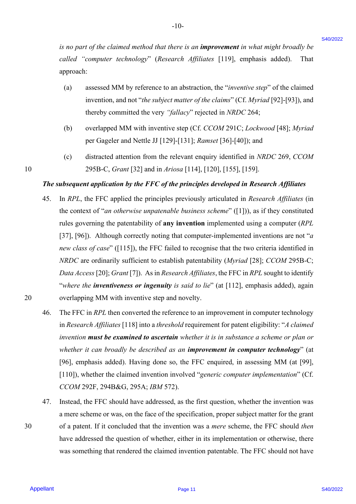*is no part of the claimed method that there is an improvement in what might broadly be*  is no part of the claimed method that there is an improvement in what might broadly be *called "computer technology*" (*Research Affiliates* [119], emphasis added). That called "computer technology" (Research Affiliates [119], emphasis added). That approach:

-10- -10-

- approach:<br>(a) assessed MM by reference to an abstraction, the "*inventive step*" of the claimed invention, and not "*the subject matter of the claims*" (Cf. *Myriad* [92]-[93]), and invention, and not "the subject matter ofthe claims" (Cf. Myriad [92]-[93]), and thereby committed the very *"fallacy*" rejected in *NRDC* 264; thereby committed the very "fallacy" rejected in NRDC 264;
- (b) overlapped MM with inventive step (Cf. *CCOM* 291C; *Lockwood* [48]; *Myriad*  (b) overlapped MM with inventive step (Cf. CCOM 291C; Lockwood [48]; Myriadper Gageler and Nettle JJ [129]-[131]; *Ramset* [36]-[40]); and per Gageler and Nettle JJ [129]-[131]; Ramset [36]-[40]); and
- (c) distracted attention from the relevant enquiry identified in *NRDC* 269, *CCOM*  (c) distracted attention from the relevant enquiry identified in NRDC 269, CCOM 10 295B-C, *Grant* [32] and in *Ariosa* [114], [120], [155], [159]. 295B-C, Grant [32] and in Ariosa [114], [120], [155], [159].

## The subsequent application by the FFC of the principles developed in Research Affiliates

- 45. In *RPL*, the FFC applied the principles previously articulated in *Research Affiliates* (in In RPL, the FFC applied the principles previously articulated in Research Affiliates (in the context of "an otherwise unpatenable business scheme" ([1])), as if they constituted rules governing the patentability of **any invention** implemented using a computer (*RPL*  rules governing the patentability of any invention implemented using <sup>a</sup> computer (RPL [37], [96]). Although correctly noting that computer-implemented inventions are not "*a*  [37], [96]). Although correctly noting that computer-implemented inventions are not "a new class of case" ([115]), the FFC failed to recognise that the two criteria identified in *NRDC* are ordinarily sufficient to establish patentability (*Myriad* [28]; *CCOM* 295B-C; NRDC are ordinarily sufficient to establish patentability (Myriad [28]; CCOM 295B-C; *Data Access* [20]; *Grant* [7]). As in *Research Affiliates*, the FFC in *RPL* sought to identify Data Access |20]; Grant [7]). As in Research Affiliates, the FFC in RPL sought to identify "where the **inventiveness or ingenuity** is said to lie" (at [112], emphasis added), again 20 overlapping MM with inventive step and novelty. overlapping MM with inventive step and novelty. *G* so part of the classed method dual there is an huprovenent to what might broadly be able to apply the compare exchange of  $R_{\text{HOM}}$ . Thus apply the spherical spherical spherical paper is the spherical spherical spher 45.
	- 46. The FFC in *RPL* then converted the reference to an improvement in computer technology The FFC in RPL then converted the reference to an improvement in computer technology in *Research Affiliates* [118] into a *threshold* requirement for patent eligibility: "*A claimed invention must be examined to ascertain whether it is in substance a scheme or plan or* invention must be examined to ascertain whether it is in substance a scheme or plan or *whether it can broadly be described as an improvement in computer technology*" (at whether it can broadly be described as an improvement in computer technology" (at [96], emphasis added). Having done so, the FFC enquired, in assessing MM (at [99], [96], emphasis added). Having done so, the FFC enquired, in assessing MM (at [99], [110]), whether the claimed invention involved "*generic computer implementation*" (Cf. [110]), whether the claimed invention involved "generic computer implementation" (Cf. *CCOM* 292F, 294B&G, 295A; *IBM* 572). CCOM 292F, 294B&G, 295A; IBM 572). 46.
- 47. Instead, the FFC should have addressed, as the first question, whether the invention was Instead, the FFC should have addressed, as the first question, whether the invention was a mere scheme or was, on the face of the specification, proper subject matter for the grant a mere scheme or was, on the face of the specification, proper subject matter for the grant 30 of a patent. If it concluded that the invention was a *mere* scheme, the FFC should *then* of <sup>a</sup> patent. If it concluded that the invention was <sup>a</sup> mere scheme, the FFC should then have addressed the question of whether, either in its implementation or otherwise, there have addressed the question of whether, either in its implementation or otherwise, there was something that rendered the claimed invention patentable. The FFC should not have was something that rendered the claimed invention patentable. The FFC should not have 47.

20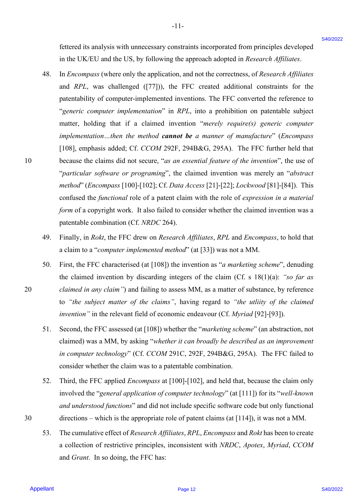fettered its analysis with unnecessary constraints incorporated from principles developed fettered its analysis with unnecessary constraints incorporated from principles developed in the UK/EU and the US, by following the approach adopted in *Research Affiliates*. in the UK/EU and the US, by following the approach adopted in Research Affiliates.

-11- -l1-

- 48. In *Encompass* (where only the application, and not the correctness, of *Research Affiliates* In Encompass (where only the application, and not the correctness, of Research Affiliates and *RPL*, was challenged ([77])), the FFC created additional constraints for the patentability of computer-implemented inventions. The FFC converted the reference to patentability of computer-implemented inventions. The FFC converted the reference to "*generic computer implementation*" in *RPL*, into a prohibition on patentable subject "generic computer implementation" in RPL, into <sup>a</sup> prohibition on patentable subject matter, holding that if a claimed invention "*merely require(s) generic computer*  matter, holding that if <sup>a</sup> claimed invention "merely require(s) generic computer *implementation…then the method cannot be a manner of manufacture*" (*Encompass* implementation...then the method cannot be a manner of manufacture" (Encompass [108], emphasis added; Cf. *CCOM* 292F, 294B&G, 295A). The FFC further held that [108], emphasis added; Cf. CCOM 292F, 294B&G, 295A). The FFC further held that 10 because the claims did not secure, "*as an essential feature of the invention*", the use of "*particular software or programing*", the claimed invention was merely an "*abstract*  "particular software or programing", the claimed invention was merely an "abstract *method*" (*Encompass* [100]-[102]; Cf. *Data Access* [21]-[22]; *Lockwood* [81]-[84]). This method" (Encompass {100]-[102]; Cf. Data Access [21]-[22]; Lockwood [81]-[84]). This confused the *functional* role of a patent claim with the role of *expression in a material*  confused the functional role of a patent claim with the role of expression in a material form of a copyright work. It also failed to consider whether the claimed invention was a patentable combination (Cf. *NRDC* 264). patentable combination (Cf. NRDC 264). fectured its analysis with unaccessary constraints incorporated from principles developed<br>
<sup>262022</sup><br>
An in E. K.<sup>1</sup>N.1 and the H. S. by interesting the approach adequation in *Neueral*, *Affiliance*<br>
4.6. In *Benemans (wh* 48.
	- 49. Finally, in *Rokt*, the FFC drew on *Research Affiliates*, *RPL* and *Encompass*, to hold that Finally, in Rokt, the FFC drew on Research Affiliates, RPL and Encompass, to hold that a claim to a "*computer implemented method*" (at [33]) was not a MM. 49.
- 50. First, the FFC characterised (at [108]) the invention as "*a marketing scheme*", denuding the claimed invention by discarding integers of the claim (Cf. s 18(1)(a): "so far as 20 claimed in any claim") and failing to assess MM, as a matter of substance, by reference to *"the subject matter of the claims"*, having regard to *"the utliity of the claimed*  to "the subject matter of the claims", having regard to "the utliity of the claimed *invention"* in the relevant field of economic endeavour (Cf. *Myriad* [92]-[93]). invention" in the relevant field of economic endeavour (Cf. Myriad [92]-[93]). 50.
	- 51. Second, the FFC assessed (at [108]) whether the "*marketing scheme*" (an abstraction, not Second, the FFC assessed (at [108]) whether the "marketing scheme" (an abstraction, not claimed) was a MM, by asking "*whether it can broadly be described as an improvement*  claimed) was a MM, by asking "whether it can broadly be described as an improvement *in computer technology*" (Cf. *CCOM* 291C, 292F, 294B&G, 295A). The FFC failed to in computer technology" (Cf. CCOM 291C, 292F, 294B&G, 295A). The FFC failed to consider whether the claim was to a patentable combination. consider whether the claim was to a patentable combination.51.
- 52. Third, the FFC applied *Encompass* at [100]-[102], and held that, because the claim only involved the "*general application of computer technology*" (at [111]) for its "well-known and understood functions" and did not include specific software code but only functional 30 directions – which is the appropriate role of patent claims (at [114]), it was not a MM. directions — which is the appropriate role of patent claims (at [114]), it was not <sup>a</sup> MM. 52.
	- 53. The cumulative effect of *Research Affiliates*, *RPL*, *Encompass* and *Rokt* has been to create The cumulative effect of Research Affiliates, RPL, Encompass and Rokt has been to create a collection of restrictive principles, inconsistent with *NRDC*, *Apotex*, *Myriad*, *CCOM* a collection of restrictive principles, inconsistent with NRDC, Apotex, Myriad, CCOM and *Grant*. In so doing, the FFC has: and Grant. In so doing, the FFC has: 53.

Page 12

30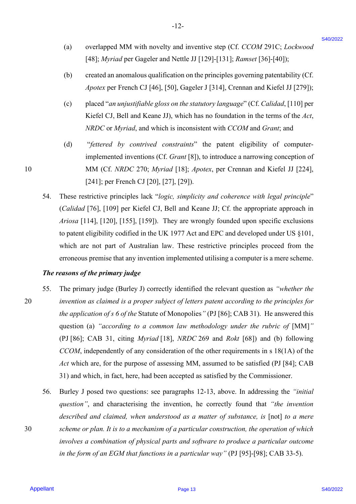(a) overlapped MM with novelty and inventive step (Cf. *CCOM* 291C; *Lockwood*  (a) overlapped MM with novelty and inventive step (Cf. CCOM 291C; Lockwood[48]; *Myriad* per Gageler and Nettle JJ [129]-[131]; *Ramset* [36]-[40]); [48]; Myriad per Gageler and Nettle JJ [129]-[131]; Ramset [36]-[40]);

-12- -12-

- (b) created an anomalous qualification on the principles governing patentability (Cf. (b) created an anomalous qualification on the principles governing patentability (Cf. *Apotex* per French CJ [46], [50], Gageler J [314], Crennan and Kiefel JJ [279]); Apotex per French CJ [46], [50], Gageler <sup>J</sup> [314], Crennan and Kiefel JJ [279]);
- (c) placed "*an unjustifiable gloss on the statutory language*" (Cf. *Calidad*, [110] per Kiefel CJ, Bell and Keane JJ), which has no foundation in the terms of the *Act*, *NRDC* or *Myriad*, and which is inconsistent with *CCOM* and *Grant*; and NRDC or Myriad, and which is inconsistent with CCOM and Grant; and
- (d) "*fettered by contrived constraints*" the patent eligibility of computer-(d) "fettered by contrived constraints" the patent eligibility of computerimplemented inventions (Cf. *Grant* [8]), to introduce a narrowing conception of 10 MM (Cf. *NRDC* 270; *Myriad* [18]; *Apotex*, per Crennan and Kiefel JJ [224], MM (Cf. NRDC 270; Myriad [18]; Apotex, per Crennan and Kiefel JJ [224], [241]; per French CJ [20], [27], [29]). [241]; per French CJ [20], [27], [29]).
	- 54. These restrictive principles lack "logic, simplicity and coherence with legal principle" (*Calidad* [76], [109] per Kiefel CJ, Bell and Keane JJ; Cf. the appropriate approach in (Calidad [76], [109] per Kiefel CJ, Bell and Keane JJ; Cf. the appropriate approach in *Ariosa* [114], [120], [155], [159]). They are wrongly founded upon specific exclusions Ariosa [114], [120], [155], [159]). They are wrongly founded upon specific exclusions to patent eligibility codified in the UK 1977 Act and EPC and developed under US §101, to patent eligibility codified in the UK 1977 Act and EPC and developed under US §101, which are not part of Australian law. These restrictive principles proceed from the which are not part of Australian law. These restrictive principles proceed from the erroneous premise that any invention implemented utilising a computer is a mere scheme. erroneous premise that any invention implemented utilising <sup>a</sup> computer is a mere scheme. 54.

#### *The reasons of the primary judge* The reasons of the primaryjudge

- 55. The primary judge (Burley J) correctly identified the relevant question as *"whether the*  The primary judge (Burley J) correctly identified the relevant question as "whether the 20 *invention as claimed is a proper subject of letters patent according to the principles for*  invention as claimed is a proper subject ofletters patent according to the principles for the application of s 6 of the Statute of Monopolies" (PJ [86]; CAB 31). He answered this question (a) "according to a common law methodology under the rubric of [MM]" (PJ [86]; CAB 31, citing *Myriad* [18], *NRDC* 269 and *Rokt* [68]) and (b) following (PJ [86]; CAB 31, citing Myriad [18], NRDC 269 and Rokt [68]) and (b) following *CCOM*, independently of any consideration of the other requirements in s 18(1A) of the CCOM, independently of any consideration of the other requirements in <sup>s</sup> 18(1A) of the *Act* which are, for the purpose of assessing MM, assumed to be satisfied (PJ [84]; CAB Act which are, for the purpose of assessing MM, assumed to be satisfied (PJ [84]; CAB 31) and which, in fact, here, had been accepted as satisfied by the Commissioner. 31) and which, in fact, here, had been accepted as satisfied by the Commissioner. (a) overlapped MM with noveliy and investives step (Cf. CCOM 291 C, Lockwood <sup>260</sup>222 C). The fit is the proper reduction (a) 1294 131 (*Stepse)* 1944-101) (b) are reted m monoidous qualification on the principles governi 55.
- 56. Burley J posed two questions: see paragraphs 12-13, above. In addressing the *"initial*  Burley <sup>J</sup> posed two questions: see paragraphs 12-13, above. In addressing the "initial *question"*, and characterising the invention, he correctly found that *"the invention*  question", and characterising the invention, he correctly found that "the invention described and claimed, when understood as a matter of substance, is [not] to a mere 30 *scheme or plan. It is to a mechanism of a particular construction, the operation of which*  scheme or plan. It is to a mechanism of aparticular construction, the operation ofwhich involves a combination of physical parts and software to produce a particular outcome in the form of an EGM that functions in a particular way" (PJ [95]-[98]; CAB 33-5). 56.

10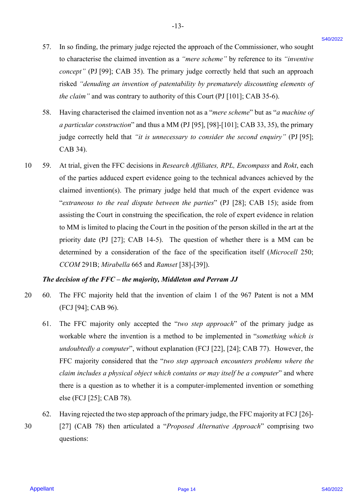- 57. In so finding, the primary judge rejected the approach of the Commissioner, who sought In so finding, the primary judge rejected the approach of the Commissioner, who sought to characterise the claimed invention as a *"mere scheme"* by reference to its *"inventive*  to characterise the claimed invention as <sup>a</sup> "mere scheme" by reference to its "inventive *concept*" (PJ [99]; CAB 35). The primary judge correctly held that such an approach risked "denuding an invention of patentability by prematurely discounting elements of *the claim"* and was contrary to authority of this Court (PJ [101]; CAB 35-6). the claim" and was contrary to authority of this Court (PJ [101]; CAB 35-6). 57.
- 58. Having characterised the claimed invention not as a "*mere scheme*" but as "*a machine of*  Having characterised the claimed invention not as a "mere scheme" but as "a machine of a particular construction" and thus a MM (PJ [95], [98]-[101]; CAB 33, 35), the primary judge correctly held that *"it is unnecessary to consider the second enquiry"* (PJ [95]; judge correctly held that "it is unnecessary to consider the second enquiry" (PJ [95]; CAB 34). CAB 34). 58.
- 10 59. At trial, given the FFC decisions in *Research Affiliates, RPL, Encompass* and *Rokt*, each of the parties adduced expert evidence going to the technical advances achieved by the of the parties adduced expert evidence going to the technical advances achieved by the claimed invention(s). The primary judge held that much of the expert evidence was claimed invention(s). The primary judge held that much of the expert evidence was "*extraneous to the real dispute between the parties*" (PJ [28]; CAB 15); aside from "extraneous to the real dispute between the parties" (PJ [28]; CAB 15); aside from assisting the Court in construing the specification, the role of expert evidence in relation assisting the Court in construing the specification, the role of expert evidence in relation to MM is limited to placing the Court in the position of the person skilled in the art at the to MM is limited to placing the Court in the position of the person skilled in the art at the priority date (PJ [27]; CAB 14-5). The question of whether there is a MM can be priority date (PJ [27]; CAB 14-5). The question of whether there is <sup>a</sup> MM can be determined by a consideration of the face of the specification itself (*Microcell* 250; determined by <sup>a</sup> consideration of the face of the specification itself (Microcell 250; *CCOM* 291B; *Mirabella* 665 and *Ramset* [38]-[39]). 57. In so finding, the pinamary judge sizested the approach of the Commissioner, who sought<br>
is constraint the claimed interastion as a "netro schooler" by reference in via "overwhere<br>
consept" (PI [99]. CAB 551. The prim 10. 59.

#### *The decision of the FFC – the majority, Middleton and Perram JJ* The decision of the FFC — the majority, Middleton and Perram JJ

- 20 60. The FFC majority held that the invention of claim 1 of the 967 Patent is not a MM (FCJ [94]; CAB 96). (FCJ [94]; CAB 96). 20-60.
	- 61. The FFC majority only accepted the "*two step approach*" of the primary judge as The FFC majority only accepted the "two step approach" of the primary judge as workable where the invention is a method to be implemented in "*something which is*  workable where the invention is <sup>a</sup> method to be implemented in "something which is undoubtedly a computer", without explanation (FCJ [22], [24]; CAB 77). However, the FFC majority considered that the "*two step approach encounters problems where the*  FFC majority considered that the "two step approach encounters problems where the claim includes a physical object which contains or may itself be a computer" and where there is a question as to whether it is a computer-implemented invention or something there is <sup>a</sup> question as to whether it is <sup>a</sup> computer-implemented invention or something else (FCJ [25]; CAB 78). else (FCJ [25]; CAB 78). 61.
	- 62. Having rejected the two step approach of the primary judge, the FFC majority at FCJ [26]- Having rejected the two step approach of the primaryjudge, the FFC majority at FCJ [26]- 62.
- 30 [27] (CAB 78) then articulated a "*Proposed Alternative Approach*" comprising two [27] (CAB 78) then articulated <sup>a</sup> "Proposed Alternative Approach" comprising two questions: questions: 30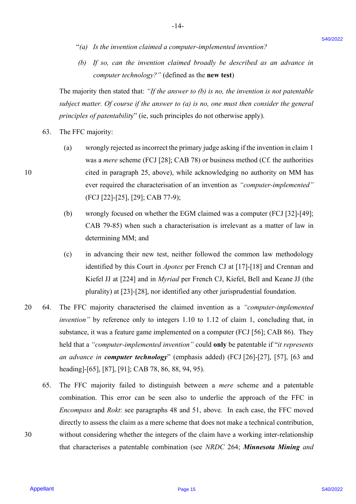"*(a) Is the invention claimed a computer-implemented invention?* "(a) Is the invention claimed a computer-implemented invention?

-14- -14-

*(b) If so, can the invention claimed broadly be described as an advance in*  (b) If so, can the invention claimed broadly be described as an advance in *computer technology?"* (defined as the **new test**) computer technology?" (defined as the new test)

The majority then stated that: *"If the answer to (b) is no, the invention is not patentable*  The majority then stated that: "Jf the answer to (b) is no, the invention is not patentable subject matter. Of course if the answer to (a) is no, one must then consider the general principles of patentability" (ie, such principles do not otherwise apply).

- 63. The FFC majority: The FFC majority: 63.
- (a) wrongly rejected as incorrect the primary judge asking if the invention in claim 1 (a) wrongly rejected as incorrect the primary judge asking ifthe invention in claim <sup>|</sup> was a *mere* scheme (FCJ [28]; CAB 78) or business method (Cf. the authorities was a mere scheme (FCJ [28]; CAB 78) or business method (Cf. the authorities 10 cited in paragraph 25, above), while acknowledging no authority on MM has cited in paragraph 25, above), while acknowledging no authority on MM has ever required the characterisation of an invention as *"computer-implemented"* ever required the characterisation of an invention as "computer-implemented" (FCJ [22]-[25], [29]; CAB 77-9); (FCJ [22]-[25], [29]; CAB 77-9);
	- (b) wrongly focused on whether the EGM claimed was a computer (FCJ [32]-[49]; (b) wrongly focused on whether the EGM claimed was <sup>a</sup> computer (FCJ [32]-[49]; CAB 79-85) when such a characterisation is irrelevant as a matter of law in CAB 79-85) when such a characterisation is irrelevant as <sup>a</sup> matter of law in determining MM; and determining MM; and
	- (c) in advancing their new test, neither followed the common law methodology (c) in advancing their new test, neither followed the common law methodology identified by this Court in *Apotex* per French CJ at [17]-[18] and Crennan and identified by this Court in Apotex per French CJ at [17]-[18] and Crennan and Kiefel JJ at [224] and in *Myriad* per French CJ, Kiefel, Bell and Keane JJ (the Kiefel JJ at [224] and in Myriad per French CJ, Kiefel, Bell and Keane JJ (the plurality) at [23]-[28], nor identified any other jurisprudential foundation. plurality) at [23]-[28], nor identified any other jurisprudential foundation.
- 20 64. The FFC majority characterised the claimed invention as a *"computer-implemented*  The FFC majority characterised the claimed invention as <sup>a</sup> "computer-implemented *invention*" by reference only to integers 1.10 to 1.12 of claim 1, concluding that, in substance, it was a feature game implemented on a computer (FCJ [56]; CAB 86). They substance, it was a feature game implemented on <sup>a</sup> computer (FCJ [56]; CAB 86). They held that a *"computer-implemented invention"* could **only** be patentable if "*it represents*  held that <sup>a</sup> "computer-implemented invention" could only be patentable if"it represents an advance in **computer technology**" (emphasis added) (FCJ [26]-[27], [57], [63 and heading]-[65], [87], [91]; CAB 78, 86, 88, 94, 95). heading]-[65], [87], [91]; CAB 78, 86, 88, 94, 95). <sup>9</sup>(*ii*) *Is be tocalized a computer-implemented investina?*<br>
(*b*) *If* so, can be investigated broadby be described a *i* and of our state of  $y(x) = \cos \theta$  is expected by  $y(x) = \cos \theta$  if the state of  $y(x) = \cos \theta$  if the stat  $20 \t 64.$
- 65. The FFC majority failed to distinguish between a *mere* scheme and a patentable combination. This error can be seen also to underlie the approach of the FFC in combination. This error can be seen also to underlie the approach of the FFC in *Encompass* and *Rokt*: see paragraphs 48 and 51, above*.* In each case, the FFC moved Encompass and Rokt: see paragraphs 48 and 51, above. In each case, the FFC moved directly to assess the claim as a mere scheme that does not make a technical contribution, directly to assess the claim as a mere scheme that does not make atechnical contribution, 30 without considering whether the integers of the claim have a working inter-relationship without considering whether the integers of the claim have <sup>a</sup> working inter-relationship that characterises a patentable combination (see *NRDC* 264; *Minnesota Mining and*  that characterises a patentable combination (see NRDC 264; Minnesota Mining and 65.

10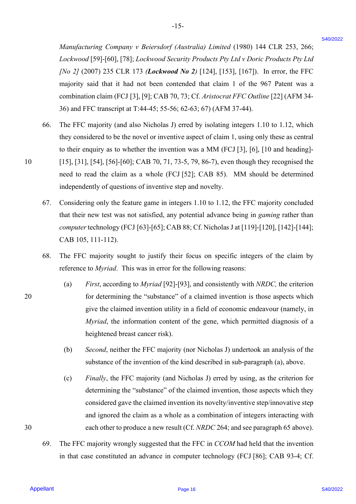*Manufacturing Company v Beiersdorf (Australia) Limited* (1980) 144 CLR 253, 266; Manufacturing Company v Beiersdorf (Australia) Limited (1980) 144 CLR 253,266;*Lockwood* [59]-[60], [78]; *Lockwood Security Products Pty Ltd v Doric Products Pty Ltd*  Lockwood [59]-[60], [78]; Lockwood Security Products Pty Ltd v Doric Products Pty Ltd *[No 2]* (2007) 235 CLR 173 *(Lockwood No 2)* [124], [153], [167]). In error, the FFC majority said that it had not been contended that claim 1 of the 967 Patent was a majority said that it had not been contended that claim 1 of the 967 Patent was <sup>a</sup> combination claim (FCJ [3], [9]; CAB 70, 73; Cf. *Aristocrat FFC Outline* [22] (AFM 34- combination claim (FCJ [3], [9]; CAB 70, 73; Cf. Aristocrat FFC Outline [22] (AFM 34- 36) and FFC transcript at T:44-45; 55-56; 62-63; 67) (AFM 37-44). 36) and FFC transcript at T:44-45; 55-56; 62-63; 67) (AFM 37-44).

-15- -15-

- 66. The FFC majority (and also Nicholas J) erred by isolating integers 1.10 to 1.12, which The FFC majority (and also Nicholas J) erred by isolating integers 1.10 to 1.12, which they considered to be the novel or inventive aspect of claim 1, using only these as central they considered to be the novel or inventive aspect of claim 1, using only these as central to their enquiry as to whether the invention was a MM (FCJ [3], [6], [10 and heading]- to their enquiry as to whether the invention was a MM (FCI [3], [6], [10 and heading]- 10 [15], [31], [54], [56]-[60]; CAB 70, 71, 73-5, 79, 86-7), even though they recognised the [15], [31], [54], [56]-[60]; CAB 70, 71, 73-5, 79, 86-7), even though they recognised the need to read the claim as a whole (FCJ [52]; CAB 85). MM should be determined need to read the claim as a whole (FCJ [52]; CAB 85). MM should be determined independently of questions of inventive step and novelty. independently of questions of inventive step and novelty. Managementing Company v Beneralory (Australia) Linisted (1960) 144 CLR 253. 266;<br>  $I \cos \alpha \cos \alpha t$  [594/2011], [32]  $I \cos \beta \cos \alpha t$  (1964)  $I \sin \beta t$  (1974/2022)  $I \sin \beta t$  (1974/2022)  $I \sin \beta t$  (1974/2022)  $I \sin \beta t$  (1974/2022)  $I \sin \$ 66.
	- 67. Considering only the feature game in integers 1.10 to 1.12, the FFC majority concluded Considering only the feature game in integers 1.10 to 1.12, the FFC majority concluded that their new test was not satisfied, any potential advance being in *gaming* rather than that their new test was not satisfied, any potential advance being in gaming rather than *computer* technology (FCJ [63]-[65]; CAB 88; Cf. Nicholas J at [119]-[120], [142]-[144]; computer technology (FCJ [63]-[65]; CAB 88; Cf.Nicholas J at [119]-[120], [142]-[144]; CAB 105, 111-112). CAB 105, 111-112). 67.
	- 68. The FFC majority sought to justify their focus on specific integers of the claim by The FFC majority sought to justify their focus on specific integers of the claim by reference to *Myriad*. This was in error for the following reasons: reference to Myriad. This was in error for the following reasons: 68.
- (a) *First*, according to *Myriad* [92]-[93], and consistently with *NRDC,* the criterion (a) First, according to Myriad [92]-[93], and consistently with NRDC, the criterion 20 for determining the "substance" of a claimed invention is those aspects which for determining the "substance" of a claimed invention is those aspects which give the claimed invention utility in a field of economic endeavour (namely, in give the claimed invention utility in a field of economic endeavour (namely, in *Myriad*, the information content of the gene, which permitted diagnosis of a Myriad, the information content of the gene, which permitted diagnosis of <sup>a</sup> heightened breast cancer risk). heightened breast cancer risk).
	- (b) Second, neither the FFC majority (nor Nicholas J) undertook an analysis of the substance of the invention of the kind described in sub-paragraph (a), above. substance of the invention of the kind described in sub-paragraph (a), above.
	- (c) Finally, the FFC majority (and Nicholas J) erred by using, as the criterion for determining the "substance" of the claimed invention, those aspects which they determining the "substance" of the claimed invention, those aspects which they considered gave the claimed invention its novelty/inventive step/innovative step considered gave the claimed invention its novelty/inventive step/innovative step and ignored the claim as a whole as a combination of integers interacting with and ignored the claim as a whole as a combination of integers interacting with each other to produce a new result (Cf. *NRDC* 264; and see paragraph 65 above).
	- each other to produce a new result (Cf. *NRDC* 264; and see paragraph 65 above).<br>69. The FFC majority wrongly suggested that the FFC in *CCOM* had held that the invention in that case constituted an advance in computer technology (FCJ [86]; CAB 93-4; Cf. in that case constituted an advance in computer technology (FCJ [86]; CAB 93-4; Cf. 69.

10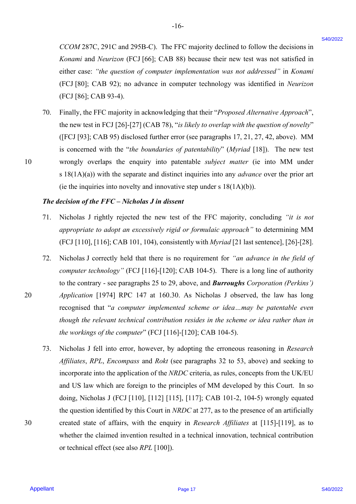*CCOM* 287C, 291C and 295B-C). The FFC majority declined to follow the decisions in CCOM 287C, 291C and 295B-C). The FFC majority declined to follow the decisions in *Konami* and *Neurizon* (FCJ [66]; CAB 88) because their new test was not satisfied in Konami and Neurizon (FCJ [66]; CAB 88) because their new test was not satisfied in either case: *"the question of computer implementation was not addressed"* in *Konami*  either case: "the question of computer implementation was not addressed" in Konami (FCJ [80]; CAB 92); no advance in computer technology was identified in *Neurizon*  (FCJ [80]; CAB 92); no advance in computer technology was identified in Neurizon (FCJ [86]; CAB 93-4). (FCJ [86]; CAB 93-4).

-16- -16-

70. Finally, the FFC majority in acknowledging that their "*Proposed Alternative Approach*", Finally, the FFC majority in acknowledging that their "Proposed Alternative Approach", the new test in FCJ [26]-[27] (CAB 78), "*is likely to overlap with the question of novelty*" ([FCJ [93]; CAB 95) disclosed further error (see paragraphs 17, 21, 27, 42, above).MM ({FCJ [93]; CAB 95) disclosed further error (see paragraphs 17, 21, 27, 42, above). MM is concerned with the "*the boundaries of patentability*" (*Myriad* [18]). The new test 10 wrongly overlaps the enquiry into patentable *subject matter* (ie into MM under wrongly overlaps the enquiry into patentable subject matter (ie into MM\_ under s 18(1A)(a)) with the separate and distinct inquiries into any *advance* over the prior art (ie the inquiries into novelty and innovative step under s  $18(1A)(b)$ ). 70.

#### *The decision of the FFC – Nicholas J in dissent* The decision of the FFC — Nicholas J in dissent

- 71. Nicholas J rightly rejected the new test of the FFC majority, concluding *"it is not*  Nicholas <sup>J</sup> rightly rejected the new test of the FFC majority,concluding "it is not *appropriate to adopt an excessively rigid or formulaic approach"* to determining MM appropriate to adopt an excessively rigid or formulaic approach" to determining MM (FCJ [110], [116]; CAB 101, 104), consistently with *Myriad* [21 last sentence], [26]-[28]. (FCJ [110], [116]; CAB 101, 104), consistently with Myriad [21 last sentence], [26]-[28].71.
- 72. Nicholas J correctly held that there is no requirement for *"an advance in the field of*  Nicholas <sup>J</sup> correctly held that there is no requirement for "an advance in the field of *computer technology"* (FCJ [116]-[120]; CAB 104-5). There is a long line of authority computer technology" (FCJ [116]-[120]; CAB 104-5). There is a long line of authority to the contrary - see paragraphs 25 to 29, above, and *Burroughs Corporation (Perkins')*  to the contrary - see paragraphs 25 to 29, above, and Burroughs Corporation (Perkins') 20 *Application* [1974] RPC 147 at 160.30. As Nicholas J observed, the law has long Application [1974] RPC 147 at 160.30. As Nicholas <sup>J</sup> observed, the law has long recognised that "*a computer implemented scheme or idea…may be patentable even*  recognised that "a computer implemented scheme or idea...may be patentable even *though the relevant technical contribution resides in the scheme or idea rather than in*  though the relevant technical contribution resides in the scheme or idea rather than in *the workings of the computer*" (FCJ [116]-[120]; CAB 104-5). the workings of the computer" (FCJ [116]-[120]; CAB 104-5). 72.
- 73. Nicholas J fell into error, however, by adopting the erroneous reasoning in *Research*  Nicholas <sup>J</sup> fell into error, however, by adopting the erroneous reasoning in Research *Affiliates*, *RPL*, *Encompass* and *Rokt* (see paragraphs 32 to 53, above) and seeking to Affiliates, RPL, Encompass and Rokt (see paragraphs 32 to 53, above) and seeking to incorporate into the application of the *NRDC* criteria, as rules, concepts from the UK/EU incorporate into the application of the NRDC criteria, as rules, concepts from the UK/EU and US law which are foreign to the principles of MM developed by this Court. In so and US law which are foreign to the principles of MM developed by this Court. In so doing, Nicholas J (FCJ [110], [112] [115], [117]; CAB 101-2, 104-5) wrongly equated doing, Nicholas J (FCJ [110], [112] [115], [117]; CAB 101-2, 104-5) wrongly equated the question identified by this Court in *NRDC* at 277, as to the presence of an artificially the question identified by this Court in NRDC at 277, as to the presence of an artificially 30 created state of affairs, with the enquiry in *Research Affiliates* at [115]-[119], as to created state of affairs, with the enquiry in Research Affiliates at [115]-[119], as to whether the claimed invention resulted in a technical innovation, technical contribution whether the claimed invention resulted in a technical innovation, technical contribution or technical effect (see also *RPL* [100]). or technical effect (see also RPL [100]). CCOM 287C, 291C and 295B-C). The FFC anjointy declined to follow the decisions in *Sonard and Northern* (C1) (16) (CN1 86) because their two sites uses to matched the constraint of the constraint the constraint of the con 73.

30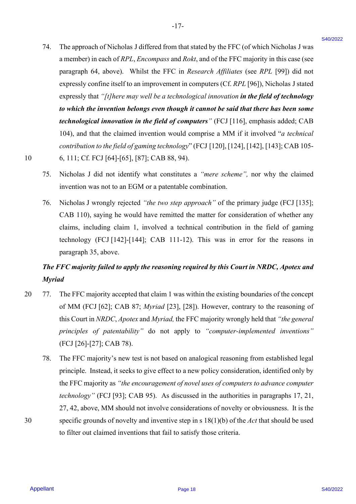74. The approach of Nicholas J differed from that stated by the FFC (of which Nicholas J was a member) in each of *RPL*, *Encompass* and *Rokt*, and of the FFC majority in this case (see paragraph 64, above). Whilst the FFC in *Research Affiliates* (see *RPL* [99]) did not paragraph 64, above). Whilst the FFC in Research Affiliates (see RPL [99]) did not expressly confine itself to an improvement in computers (Cf. *RPL* [96]), Nicholas J stated expressly confine itself to an improvement in computers (Cf.RPL [96]), Nicholas <sup>J</sup> stated expressly that "[t]here may well be a technological innovation in the field of technology *to which the invention belongs even though it cannot be said that there has been some*  to which the invention belongs even though it cannot be said that there has been some *technological innovation in the field of computers"* (FCJ [116], emphasis added; CAB technological innovation in the field of computers" (FCJ [116], emphasis added; CAB 104), and that the claimed invention would comprise a MM if it involved "*a technical*  104), and that the claimed invention would comprise <sup>a</sup> MM if it involved "a technical contribution to the field of gaming technology" (FCJ [120], [124], [142], [143]; CAB 105-10 6, 111; Cf. FCJ [64]-[65], [87]; CAB 88, 94). 6, 111;Cf. FCJ [64]-[65], [87]; CAB 88, 94). 24. The approach of Nicholas 1 differed from that stated by the FFC (of which Nicholas 1 was<br>a member of notice of *RP*, *Association* and *RD* and of the *UVC remember in the case (e.g. 1991*) and and<br>paragraph is cleare 74.

-17- -|7-

- 10
	- 75. Nicholas J did not identify what constitutes a *"mere scheme",* nor why the claimed Nicholas J did not identify what constitutes a "mere scheme", nor why the claimed invention was not to an EGM or a patentable combination. invention was not to an EGM or <sup>a</sup> patentable combination. 75.
	- 76. Nicholas J wrongly rejected *"the two step approach"* of the primary judge (FCJ [135]; Nicholas <sup>J</sup> wrongly rejected "the two step approach" of the primary judge (FCJ [135]; CAB 110), saying he would have remitted the matter for consideration of whether any CAB 110), saying he would have remitted the matter for consideration of whether any claims, including claim 1, involved a technical contribution in the field of gaming claims, including claim 1, involved a technical contribution in the field of gaming technology (FCJ [142]-[144]; CAB 111-12). This was in error for the reasons in technology (FCJ [142]-[144]; CAB 111-12). This was in error for the reasons in paragraph 35, above. paragraph 35, above. 76.

# The FFC majority failed to apply the reasoning required by this Court in NRDC, Apotex and *Myriad* Myriad

- 20 77. The FFC majority accepted that claim 1 was within the existing boundaries of the concept of MM (FCJ [62]; CAB 87; *Myriad* [23], [28]). However, contrary to the reasoning of this Court in *NRDC*, *Apotex* and *Myriad,* the FFC majority wrongly held that *"the general*  this Court in NRDC, Apotex and Myriad, the FFC majority wrongly held that "the general *principles of patentability"* do not apply to *"computer-implemented inventions"* principles of patentability" do not apply to "computer-implemented inventions" (FCJ [26]-[27]; CAB 78). (FCJ [26]-[27]; CAB 78). 20 (77.
- 78. The FFC majority's new test is not based on analogical reasoning from established legal The FFC majority's new test is not based on analogical reasoning from established legal principle. Instead, it seeks to give effect to a new policy consideration, identified only by principle. Instead, it seeks to give effect to <sup>a</sup> new policy consideration, identified only by the FFC majority as "the encouragement of novel uses of computers to advance computer *technology"* (FCJ [93]; CAB 95). As discussed in the authorities in paragraphs 17, 21, technology" (FCJ [93]; CAB 95). As discussed in the authorities in paragraphs 17, 21, 27, 42, above, MM should not involve considerations of novelty or obviousness. It is the 27, 42, above, MM should not involve considerations of novelty or obviousness. It is the 30 specific grounds of novelty and inventive step in s 18(1)(b) of the *Act* that should be used specific grounds of novelty and inventive step in <sup>s</sup> 18(1)(b) of the Act that should be used to filter out claimed inventions that fail to satisfy those criteria. to filter out claimed inventions that fail to satisfy those criteria. 78.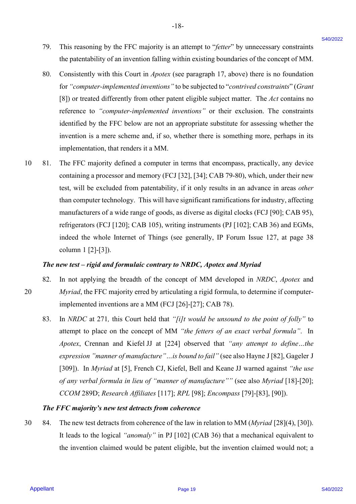79. This reasoning by the FFC majority is an attempt to "*fetter*" by unnecessary constraints This reasoning by the FFC majority is an attempt to "fetter" by unnecessary constraints the patentability of an invention falling within existing boundaries of the concept of MM. the patentability of an invention falling within existing boundaries of the concept of MM. 79.

-18- -18-

- 80. Consistently with this Court in *Apotex* (see paragraph 17, above) there is no foundation Consistently with this Court in Apotex (see paragraph 17, above) there is no foundation for *"computer-implemented inventions"* to be subjected to "*contrived constraints*" (*Grant*  for "computer-implemented inventions " to be subjected to "contrived constraints" (Grant [8]) or treated differently from other patent eligible subject matter. The *Act* contains no [8]) or treated differently from other patent eligible subject matter. The Act contains no reference to *"computer-implemented inventions"* or their exclusion. The constraints reference to "computer-implemented inventions" or their exclusion. The constraints identified by the FFC below are not an appropriate substitute for assessing whether the identified by the FFC below are not an appropriate substitute for assessing whether the invention is a mere scheme and, if so, whether there is something more, perhaps in its invention is <sup>a</sup> mere scheme and, if so, whether there is something more, perhaps in its implementation, that renders it a MM. 80.
- 10 81. The FFC majority defined a computer in terms that encompass, practically, any device The FFC majority defined a computer in terms that encompass, practically, any device containing a processor and memory (FCJ [32], [34]; CAB 79-80), which, under their new containing a processor and memory (FCJ [32], [34]; CAB 79-80), which, under their new test, will be excluded from patentability, if it only results in an advance in areas *other*  test, will be excluded from patentability, if it only results in an advance in areas other than computer technology. This will have significant ramifications for industry, affecting than computer technology. This will have significant ramifications for industry, affecting manufacturers of a wide range of goods, as diverse as digital clocks (FCJ [90]; CAB 95), manufacturers of <sup>a</sup> wide range of goods, as diverse as digital clocks (FCJ [90]; CAB 95), refrigerators (FCJ [120]; CAB 105), writing instruments (PJ [102]; CAB 36) and EGMs, refrigerators (FCJ [120]; CAB 105), writing instruments (PJ [102]; CAB 36) and EGMs, indeed the whole Internet of Things (see generally, IP Forum Issue 127, at page 38 indeed the whole Internet of Things (see generally, IP Forum Issue 127, at page 38 column 1 [2]-[3]). column <sup>1</sup> [2]-[3]). 29. This reasoning by the FFC empirity is an attention "ferre" by unnecessary constraints are the poles and the poles and the poles and the poles and the poles and the poles and the poles and the poles and the poles and t 1081.

#### *The new test – rigid and formulaic contrary to NRDC, Apotex and Myriad* The new test — rigid and formulaic contrary to NRDC, Apotex and Myriad

- 82. In not applying the breadth of the concept of MM developed in *NRDC*, *Apotex* and In not applying the breadth of the concept of MM developed in NRDC, Apotex and 20 *Myriad*, the FFC majority erred by articulating a rigid formula, to determine if computer-Myriad, the FFC majority erred by articulating <sup>a</sup> rigid formula, to determine if computerimplemented inventions are a MM (FCJ [26]-[27]; CAB 78). implemented inventions are <sup>a</sup> MM (FCJ [26]-[27]; CAB 78). 82. 20
	- 83. In *NRDC* at 271, this Court held that "[i]t would be unsound to the point of folly" to attempt to place on the concept of MM *"the fetters of an exact verbal formula"*. In attempt to place on the concept of MM "the fetters of an exact verbal formula". In *Apotex*, Crennan and Kiefel JJ at [224] observed that *"any attempt to define…the*  Apotex, Crennan and Kiefel JJ at [224] observed that "any attempt to define...the expression "manner of manufacture"...is bound to fail" (see also Hayne J [82], Gageler J [309]). In *Myriad* at [5], French CJ, Kiefel, Bell and Keane JJ warned against *"the use*  [309]). In Myriad at [5], French CJ, Kiefel, Bell and Keane JJ warned against "the use of any verbal formula in lieu of "manner of manufacture"" (see also Myriad [18]-[20]; *CCOM* 289D; *Research Affiliates* [117]; *RPL* [98]; *Encompass* [79]-[83], [90]). CCOM 289D; Research Affiliates [117]; RPL [98]; Encompass [79]-[83], [90]). 83.

#### *The FFC majority's new test detracts from coherence* The FFC majority's new test detractsfrom coherence

30 84. The new test detracts from coherence of the law in relation to MM (*Myriad* [28](4), [30]). The new test detracts from coherence of the law in relation to MM (Myriad [28](4), [30]). It leads to the logical *"anomaly"* in PJ [102] (CAB 36) that a mechanical equivalent to It leads to the logical "anomaly" in PJ [102] (CAB 36) that a mechanical equivalent to the invention claimed would be patent eligible, but the invention claimed would not; a the invention claimed would be patent eligible, but the invention claimed would not; a 30.84.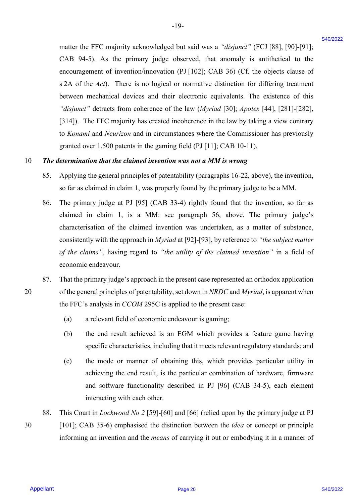matter the FFC majority acknowledged but said was a *"disjunct"* (FCJ [88], [90]-[91]; matter the FFC majority acknowledged but said was a "disjunct" (FCJ [88], [90]-[91]; CAB 94-5). As the primary judge observed, that anomaly is antithetical to the CAB 94-5). As the primary judge observed, that anomaly is antithetical to the encouragement of invention/innovation (PJ [102]; CAB 36) (Cf. the objects clause of encouragement of invention/innovation (PJ [102]; CAB 36) (Cf. the objects clause of s 2A of the *Act*). There is no logical or normative distinction for differing treatment <sup>s</sup> 2A of the Act). There is no logical or normative distinction for differing treatment between mechanical devices and their electronic equivalents. The existence of this between mechanical devices and their electronic equivalents. The existence of this *"disjunct"* detracts from coherence of the law (*Myriad* [30]; *Apotex* [44], [281]-[282], "disjunct" detracts from coherence of the law (Myriad [30]; Apotex [44], [281]-[282], [314]). The FFC majority has created incoherence in the law by taking a view contrary [314]). The FFC majority has created incoherence in the law by taking <sup>a</sup> view contrary to *Konami* and *Neurizon* and in circumstances where the Commissioner has previously to Konami and Neurizon and in circumstances where the Commissioner has previously granted over 1,500 patents in the gaming field (PJ [11]; CAB 10-11). granted over 1,500 patents in the gaming field (PJ [11]; CAB 10-11). matter the FFC majority acknowledged bat said was a "disjoner" (FCJ [85], [90]-901].<br>
CAU 34.5. As the premery judicip denotes the material of the area in the state of the state of the control and in the state of the stat

-19- -19-

#### 10 *The determination that the claimed invention was not a MM is wrong* <sup>10</sup> The determination that the claimed invention was not a MM is wrong

- 85. Applying the general principles of patentability (paragraphs 16-22, above), the invention, Applying the general principles of patentability (paragraphs 16-22, above), the invention, so far as claimed in claim 1, was properly found by the primary judge to be a MM. so far as claimed in claim 1, was properly found by the primary judge to be <sup>a</sup> MM. 85.
- 86. The primary judge at PJ [95] (CAB 33-4) rightly found that the invention, so far as The primary judge at PJ [95] (CAB 33-4) rightly found that the invention, so far as claimed in claim 1, is a MM: see paragraph 56, above. The primary judge's claimed in claim 1, is <sup>a</sup> MM: see paragraph 56, above. The primary judge's characterisation of the claimed invention was undertaken, as a matter of substance, characterisation of the claimed invention was undertaken, as a matter of substance, consistently with the approach in *Myriad* at [92]-[93], by reference to *"the subject matter*  consistently with the approach in Myriad at [92]-[93], by reference to "the subject matter of the claims", having regard to "the utility of the claimed invention" in a field of economic endeavour. economic endeavour. 86.
- 87. That the primary judge's approach in the present case represented an orthodox application That the primary judge's approach in the present case represented an orthodox application 20 of the general principles of patentability, set down in *NRDC* and *Myriad*, is apparent when the FFC's analysis in *CCOM* 295C is applied to the present case: 87.
	- (a) a relevant field of economic endeavour is gaming; (a) a relevant field of economic endeavour is gaming;
	- (b) the end result achieved is an EGM which provides a feature game having (b) the end result achieved is an EGM which provides a feature game having specific characteristics, including that it meets relevant regulatory standards; and
	- (c) the mode or manner of obtaining this, which provides particular utility in (c) the mode or manner of obtaining this, which provides particular utility in achieving the end result, is the particular combination of hardware, firmware achieving the end result, is the particular combination of hardware, firmware and software functionality described in PJ [96] (CAB 34-5), each element and software functionality described in PJ [96] (CAB 34-5), each element interacting with each other. interacting with each other.
	- 88. This Court in *Lockwood No 2* [59]-[60] and [66] (relied upon by the primary judge at PJ 88.
- 30 [101]; CAB 35-6) emphasised the distinction between the *idea* or concept or principle [101]; CAB 35-6) emphasised the distinction between the idea or concept or principle informing an invention and the *means* of carrying it out or embodying it in a manner of informing an invention and the means of carrying it out or embodying it in <sup>a</sup> manner of 30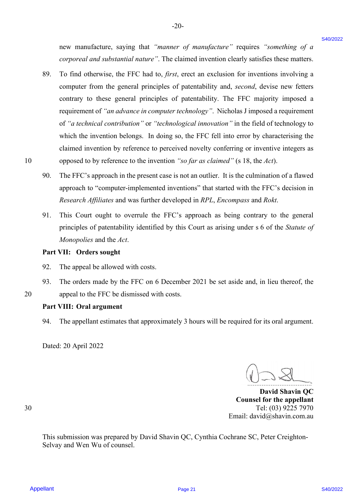new manufacture, saying that *"manner of manufacture"* requires *"something of a*  new manufacture, saying that "manner of manufacture" requires "something of <sup>a</sup> *corporeal and substantial nature"*. The claimed invention clearly satisfies these matters. corporeal and substantial nature". The claimed invention clearly satisfies these matters.

-20- -20-

- 89. To find otherwise, the FFC had to, *first*, erect an exclusion for inventions involving a To find otherwise, the FFC had to, first, erect an exclusion for inventions involving <sup>a</sup> computer from the general principles of patentability and, *second*, devise new fetters computer from the general principles of patentability and, second, devise new fetters contrary to these general principles of patentability. The FFC majority imposed a contrary to these general principles of patentability. The FFC majority imposed <sup>a</sup> requirement of "an advance in computer technology". Nicholas J imposed a requirement of "a technical contribution" or "technological innovation" in the field of technology to which the invention belongs. In doing so, the FFC fell into error by characterising the which the invention belongs. In doing so, the FFC fell into error by characterising the claimed invention by reference to perceived novelty conferring or inventive integers as claimed invention by reference to perceived novelty conferring or inventive integers as 10 opposed to by reference to the invention *"so far as claimed"* (s 18, the *Act*). opposed to by reference to the invention "so far as claimed" (s 18, the Act). EVA manufacture, saying that "somete of monofoncer" requires "something of a<br>
something of a<br>
SAD To find sthew shows<br>obtained state to mean the channel of the channel state for the channel state<br>
SAD To find sthew is the 89.
	- 90. The FFC's approach in the present case is not an outlier. It is the culmination of a flawed approach to "computer-implemented inventions" that started with the FFC's decision in approach to "computer-implemented inventions" that started with the FFC's decision in *Research Affiliates* and was further developed in *RPL*, *Encompass* and *Rokt*. Research Affiliates and was further developed in RPL, Encompass and Rokt. 90.
	- 91. This Court ought to overrule the FFC's approach as being contrary to the general This Court ought to overrule the FFC's approach as being contrary to the general principles of patentability identified by this Court as arising under s 6 of the *Statute of* principles of patentability identified by this Court as arising under <sup>s</sup> <sup>6</sup> of the Statute of *Monopolies* and the *Act*. Monopolies and the Act. 91.

#### **Part VII: Orders sought** Part VII: Orders sought

- 92. The appeal be allowed with costs. The appeal be allowed with costs. 92.
- 93. The orders made by the FFC on 6 December 2021 be set aside and, in lieu thereof, the 20 appeal to the FFC be dismissed with costs. appeal to the FFC be dismissed with costs. 93.

#### **Part VIII: Oral argument** Part VII: Oral argument

94. The appellant estimates that approximately 3 hours will be required for its oral argument. The appellant estimates that approximately <sup>3</sup> hours will be required for its oral argument.94.

Dated: 20 April 2022 Dated: 20 April 2022

....................................

**David Shavin QC**  David Shavin QC **Counsel for the appellant** Counsel for the appellant 30 Tel: (03) 9225 7970 Tel: (03) 9225 7970 Email: david@shavin.com.au Email: david@shavin.com.au

30

20

This submission was prepared by David Shavin QC, Cynthia Cochrane SC, Peter Creighton-This submission was prepared by David Shavin QC, Cynthia Cochrane SC, Peter Creighton-Selvay and Wen Wu of counsel. Selvay and Wen Wu of counsel.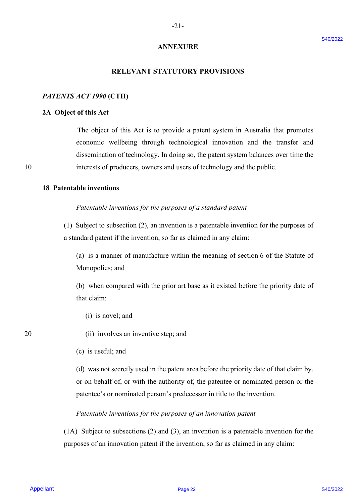## **ANNEXURE** ANNEXURE

-21- -21-

#### **RELEVANT STATUTORY PROVISIONS** RELEVANT STATUTORY PROVISIONS

#### *PATENTS ACT 1990* **(CTH)** PATENTS ACT 1990 (CTH)

#### **2A Object of this Act** 2A Object of this Act

 The object of this Act is to provide a patent system in Australia that promotes The object of this Act is to provide <sup>a</sup> patent system in Australia that promotes economic wellbeing through technological innovation and the transfer and economic wellbeing through technological innovation and the transfer and dissemination of technology. In doing so, the patent system balances over time the dissemination of technology. In doing so, the patent system balances over time the 10 interests of producers, owners and users of technology and the public. <sup>10</sup> interests of producers, owners and users of technology and the public. **ANNEXT STATUTORY PROVISIONS**<br> **PATENTS ACT 1999 (CTH)**<br> **2A.** Object of this Act is to provide a patent system in Anstralia that promotes<br> **2A.** Object of this Act is to provide a patent system in Anstralia that promotes

#### **18 Patentable inventions** 18 Patentable inventions

### Patentable inventions for the purposes of a standard patent

(1) Subject to subsection (2), an invention is a patentable invention for the purposes of (1) Subject to subsection (2), an invention is <sup>a</sup> patentable invention for the purposes of a standard patent if the invention, so far as claimed in any claim: <sup>a</sup> standard patent ifthe invention, so far as claimed in any claim:

(a) is a manner of manufacture within the meaning of section 6 of the Statute of (a) is a manner of manufacture within the meaning of section 6 of the Statute of Monopolies; and Monopolies; and

(b) when compared with the prior art base as it existed before the priority date of (b) when compared with the prior art base as it existed before the priority date ofthat claim: that claim:

- (i) is novel; and (i) is novel; and
- 20 (ii) involves an inventive step; and
	- (c) is useful; and (c) is useful; and

(d) was not secretly used in the patent area before the priority date of that claim by, (d) was not secretly used in the patent areabefore the priority date of that claim by, or on behalf of, or with the authority of, the patentee or nominated person or the patentee's or nominated person's predecessor in title to the invention. patentee's or nominated person's predecessor in title to the invention.

### *Patentable inventions for the purposes of an innovation patent* Patentable inventions for the purposes ofan innovation patent

(1A) Subject to subsections (2) and (3), an invention is a patentable invention for the (1A) Subject to subsections (2) and (3), an invention is a patentable invention for the purposes of an innovation patent if the invention, so far as claimed in any claim: purposes of an innovation patent if the invention, so far as claimed in any claim: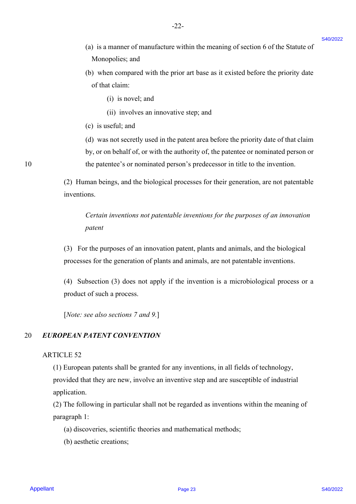(a) is a manner of manufacture within the meaning of section  $6$  of the Statute of Monopolies; and Monopolies; and

-22- -22-

- (b) when compared with the prior art base as it existed before the priority date (b) when compared with the prior art base as it existed before the priority date of that claim: of that claim:
	- (i) is novel; and (1) is novel; and
	- (ii) involves an innovative step; and (11) involves an innovative step; and
- (c) is useful; and (c) is useful; and

(d) was not secretly used in the patent area before the priority date of that claim (d) was not secretly used in the patent areabefore the priority date of that claim by, or on behalf of, or with the authority of, the patentee or nominated person or by, or on behalf of, or with the authority of, the patentee or nominated person or 10 the patentee's or nominated person's predecessor in title to the invention. 10 the patentee's or nominated person's predecessor in title to the invention.

> (2) Human beings, and the biological processes for their generation, are not patentable (2) Human beings, and the biological processes for their generation, are not patentable inventions. inventions.

*Certain inventions not patentable inventions for the purposes of an innovation*  Certain inventions not patentable inventions for the purposes ofan innovation *patent* patent

(3) For the purposes of an innovation patent, plants and animals, and the biological (3) For the purposes of an innovation patent, plants and animals, and the biological processes for the generation of plants and animals, are not patentable inventions. processes for the generation of plants and animals, are not patentable inventions.

(4) Subsection (3) does not apply if the invention is a microbiological process or a (4) Subsection (3) does not apply if the invention is <sup>a</sup> microbiological process or <sup>a</sup> product of such a process. product of such <sup>a</sup> process.

[*Note: see also sections 7 and 9.*] [Note: see also sections 7 and 9.]|

#### 20 *EUROPEAN PATENT CONVENTION* 20 EUROPEAN PATENT CONVENTION

#### ARTICLE 52 ARTICLE 52

(1) European patents shall be granted for any inventions, in all fields of technology, (1) European patents shall be granted for any inventions, in all fields of technology, provided that they are new, involve an inventive step and are susceptible of industrial provided that they are new, involve an inventive step and are susceptible of industrial application. application. (a) is a masser of manufacture within the meaning of section 6 of the Shatur of<br>
Moreoverlier, and<br>
(b) when compared with the prior art buse ns is existed before the priority due<br>
(b) is nowel, and<br>
(i) is rousel, and<br>
(

(2) The following in particular shall not be regarded as inventions within the meaning of (2) The following in particular shall not be regarded as inventions within the meaning of paragraph 1: paragraph 1:

- (a) discoveries, scientific theories and mathematical methods; (a) discoveries, scientific theories and mathematical methods;(b) aesthetic creations;
- (b) aesthetic creations;